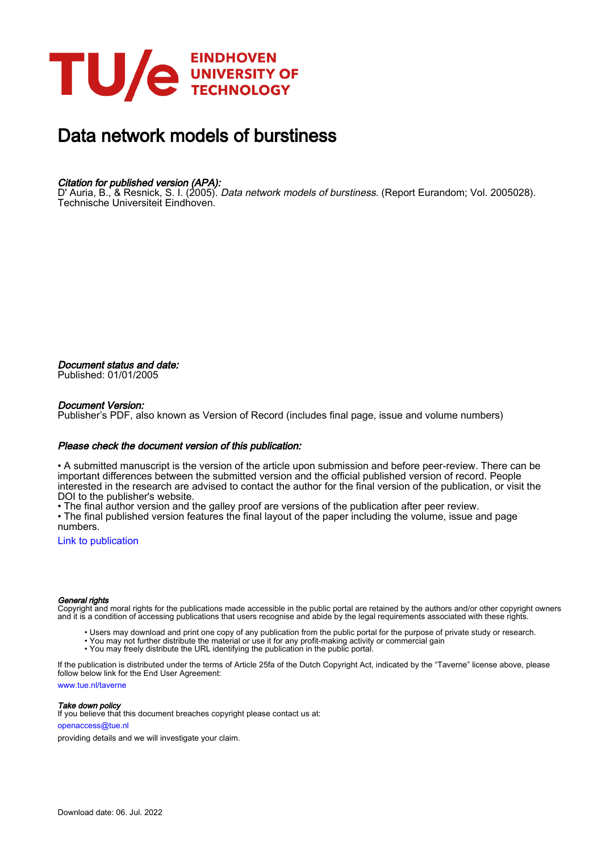

# Data network models of burstiness

### Citation for published version (APA):

D' Auria, B., & Resnick, S. I. (2005). *Data network models of burstiness*. (Report Eurandom; Vol. 2005028). Technische Universiteit Eindhoven.

Document status and date: Published: 01/01/2005

### Document Version:

Publisher's PDF, also known as Version of Record (includes final page, issue and volume numbers)

### Please check the document version of this publication:

• A submitted manuscript is the version of the article upon submission and before peer-review. There can be important differences between the submitted version and the official published version of record. People interested in the research are advised to contact the author for the final version of the publication, or visit the DOI to the publisher's website.

• The final author version and the galley proof are versions of the publication after peer review.

• The final published version features the final layout of the paper including the volume, issue and page numbers.

[Link to publication](https://research.tue.nl/en/publications/aba0069f-dc4b-4b0d-ad91-c34a7b2c5279)

### General rights

Copyright and moral rights for the publications made accessible in the public portal are retained by the authors and/or other copyright owners and it is a condition of accessing publications that users recognise and abide by the legal requirements associated with these rights.

- Users may download and print one copy of any publication from the public portal for the purpose of private study or research.
- You may not further distribute the material or use it for any profit-making activity or commercial gain
- You may freely distribute the URL identifying the publication in the public portal.

If the publication is distributed under the terms of Article 25fa of the Dutch Copyright Act, indicated by the "Taverne" license above, please follow below link for the End User Agreement:

www.tue.nl/taverne

**Take down policy**<br>If you believe that this document breaches copyright please contact us at:

openaccess@tue.nl

providing details and we will investigate your claim.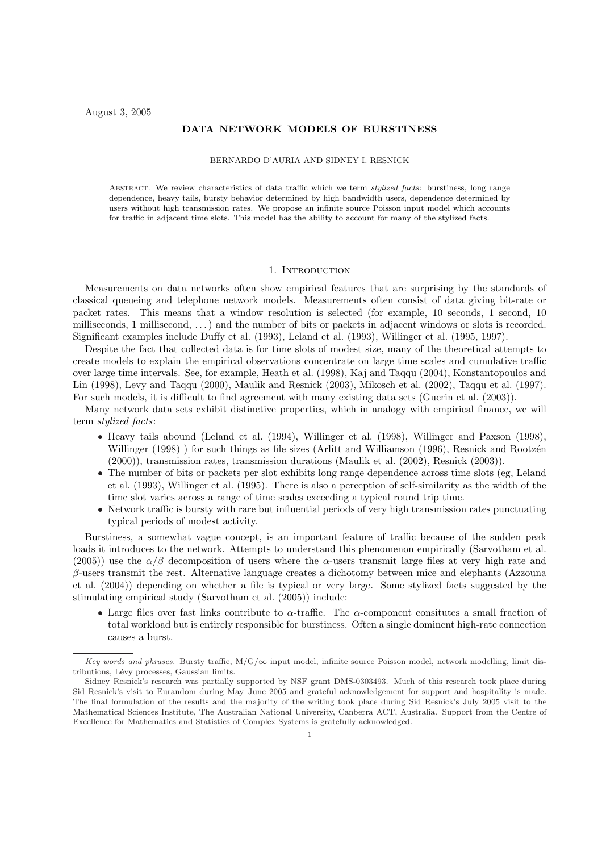### DATA NETWORK MODELS OF BURSTINESS

### BERNARDO D'AURIA AND SIDNEY I. RESNICK

ABSTRACT. We review characteristics of data traffic which we term *stylized facts*: burstiness, long range dependence, heavy tails, bursty behavior determined by high bandwidth users, dependence determined by users without high transmission rates. We propose an infinite source Poisson input model which accounts for traffic in adjacent time slots. This model has the ability to account for many of the stylized facts.

### 1. INTRODUCTION

Measurements on data networks often show empirical features that are surprising by the standards of classical queueing and telephone network models. Measurements often consist of data giving bit-rate or packet rates. This means that a window resolution is selected (for example, 10 seconds, 1 second, 10 milliseconds, 1 millisecond, . . .) and the number of bits or packets in adjacent windows or slots is recorded. Significant examples include Duffy et al. (1993), Leland et al. (1993), Willinger et al. (1995, 1997).

Despite the fact that collected data is for time slots of modest size, many of the theoretical attempts to create models to explain the empirical observations concentrate on large time scales and cumulative traffic over large time intervals. See, for example, Heath et al. (1998), Kaj and Taqqu (2004), Konstantopoulos and Lin (1998), Levy and Taqqu (2000), Maulik and Resnick (2003), Mikosch et al. (2002), Taqqu et al. (1997). For such models, it is difficult to find agreement with many existing data sets (Guerin et al. (2003)).

Many network data sets exhibit distinctive properties, which in analogy with empirical finance, we will term stylized facts:

- Heavy tails abound (Leland et al. (1994), Willinger et al. (1998), Willinger and Paxson (1998), Willinger (1998) ) for such things as file sizes (Arlitt and Williamson (1996), Resnick and Rootzén (2000)), transmission rates, transmission durations (Maulik et al. (2002), Resnick (2003)).
- The number of bits or packets per slot exhibits long range dependence across time slots (eg, Leland et al. (1993), Willinger et al. (1995). There is also a perception of self-similarity as the width of the time slot varies across a range of time scales exceeding a typical round trip time.
- Network traffic is bursty with rare but influential periods of very high transmission rates punctuating typical periods of modest activity.

Burstiness, a somewhat vague concept, is an important feature of traffic because of the sudden peak loads it introduces to the network. Attempts to understand this phenomenon empirically (Sarvotham et al. (2005)) use the  $\alpha/\beta$  decomposition of users where the  $\alpha$ -users transmit large files at very high rate and  $\beta$ -users transmit the rest. Alternative language creates a dichotomy between mice and elephants (Azzouna et al. (2004)) depending on whether a file is typical or very large. Some stylized facts suggested by the stimulating empirical study (Sarvotham et al. (2005)) include:

• Large files over fast links contribute to  $\alpha$ -traffic. The  $\alpha$ -component consitutes a small fraction of total workload but is entirely responsible for burstiness. Often a single dominent high-rate connection causes a burst.

Key words and phrases. Bursty traffic,  $M/G/\infty$  input model, infinite source Poisson model, network modelling, limit distributions, Lévy processes, Gaussian limits.

Sidney Resnick's research was partially supported by NSF grant DMS-0303493. Much of this research took place during Sid Resnick's visit to Eurandom during May–June 2005 and grateful acknowledgement for support and hospitality is made. The final formulation of the results and the majority of the writing took place during Sid Resnick's July 2005 visit to the Mathematical Sciences Institute, The Australian National University, Canberra ACT, Australia. Support from the Centre of Excellence for Mathematics and Statistics of Complex Systems is gratefully acknowledged.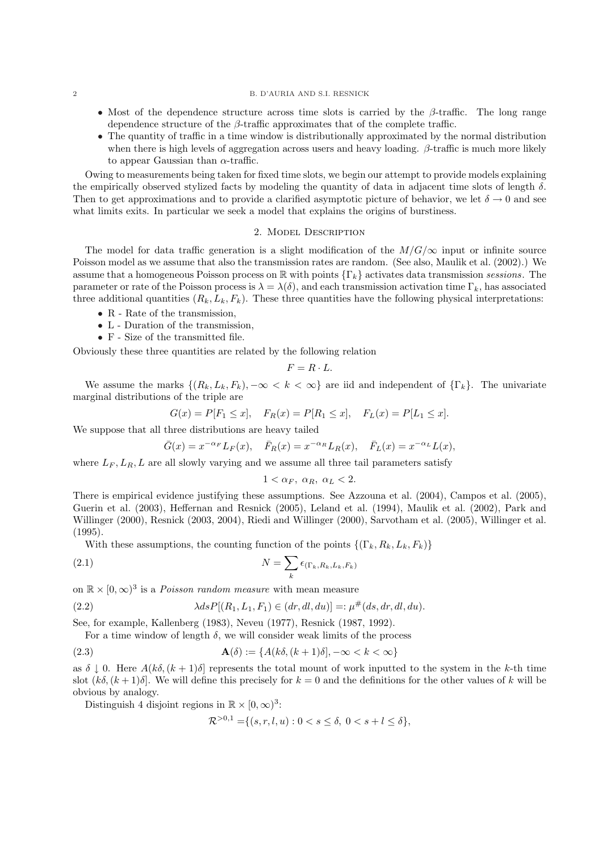#### 2 B. D'AURIA AND S.I. RESNICK

- Most of the dependence structure across time slots is carried by the  $\beta$ -traffic. The long range dependence structure of the  $\beta$ -traffic approximates that of the complete traffic.
- The quantity of traffic in a time window is distributionally approximated by the normal distribution when there is high levels of aggregation across users and heavy loading.  $\beta$ -traffic is much more likely to appear Gaussian than  $\alpha$ -traffic.

Owing to measurements being taken for fixed time slots, we begin our attempt to provide models explaining the empirically observed stylized facts by modeling the quantity of data in adjacent time slots of length  $\delta$ . Then to get approximations and to provide a clarified asymptotic picture of behavior, we let  $\delta \to 0$  and see what limits exits. In particular we seek a model that explains the origins of burstiness.

#### 2. Model Description

The model for data traffic generation is a slight modification of the  $M/G/\infty$  input or infinite source Poisson model as we assume that also the transmission rates are random. (See also, Maulik et al. (2002).) We assume that a homogeneous Poisson process on  $\mathbb R$  with points  $\{\Gamma_k\}$  activates data transmission sessions. The parameter or rate of the Poisson process is  $\lambda = \lambda(\delta)$ , and each transmission activation time  $\Gamma_k$ , has associated three additional quantities  $(R_k, L_k, F_k)$ . These three quantities have the following physical interpretations:

- R Rate of the transmission,
- L Duration of the transmission,
- F Size of the transmitted file.

Obviously these three quantities are related by the following relation

$$
F = R \cdot L.
$$

We assume the marks  $\{(R_k, L_k, F_k), -\infty \leq k \leq \infty\}$  are iid and independent of  $\{\Gamma_k\}$ . The univariate marginal distributions of the triple are

$$
G(x) = P[F_1 \le x], \quad F_R(x) = P[R_1 \le x], \quad F_L(x) = P[L_1 \le x].
$$

We suppose that all three distributions are heavy tailed

$$
\bar{G}(x) = x^{-\alpha_F} L_F(x), \quad \bar{F}_R(x) = x^{-\alpha_R} L_R(x), \quad \bar{F}_L(x) = x^{-\alpha_L} L(x),
$$

where  $L_F, L_R, L$  are all slowly varying and we assume all three tail parameters satisfy

$$
1 < \alpha_F, \ \alpha_R, \ \alpha_L < 2.
$$

There is empirical evidence justifying these assumptions. See Azzouna et al. (2004), Campos et al. (2005), Guerin et al. (2003), Heffernan and Resnick (2005), Leland et al. (1994), Maulik et al. (2002), Park and Willinger (2000), Resnick (2003, 2004), Riedi and Willinger (2000), Sarvotham et al. (2005), Willinger et al. (1995).

With these assumptions, the counting function of the points  $\{(\Gamma_k, R_k, L_k, F_k)\}$ 

(2.1) 
$$
N = \sum_{k} \epsilon_{(\Gamma_k, R_k, L_k, F_k)}
$$

on  $\mathbb{R} \times [0, \infty)^3$  is a *Poisson random measure* with mean measure

(2.2) 
$$
\lambda ds P[(R_1, L_1, F_1) \in (dr, dl, du)] =: \mu^{\#}(ds, dr, dl, du).
$$

See, for example, Kallenberg (1983), Neveu (1977), Resnick (1987, 1992).

For a time window of length 
$$
\delta
$$
, we will consider weak limits of the process

(2.3) 
$$
\mathbf{A}(\delta) := \{A(k\delta, (k+1)\delta), -\infty < k < \infty\}
$$

as  $\delta \downarrow 0$ . Here  $A(k\delta, (k+1)\delta]$  represents the total mount of work inputted to the system in the k-th time slot  $(k\delta,(k+1)\delta]$ . We will define this precisely for  $k=0$  and the definitions for the other values of k will be obvious by analogy.

Distinguish 4 disjoint regions in  $\mathbb{R} \times [0, \infty)^3$ :

$$
\mathcal{R}^{>0,1} = \{(s,r,l,u) : 0 < s \le \delta, \ 0 < s + l \le \delta\},
$$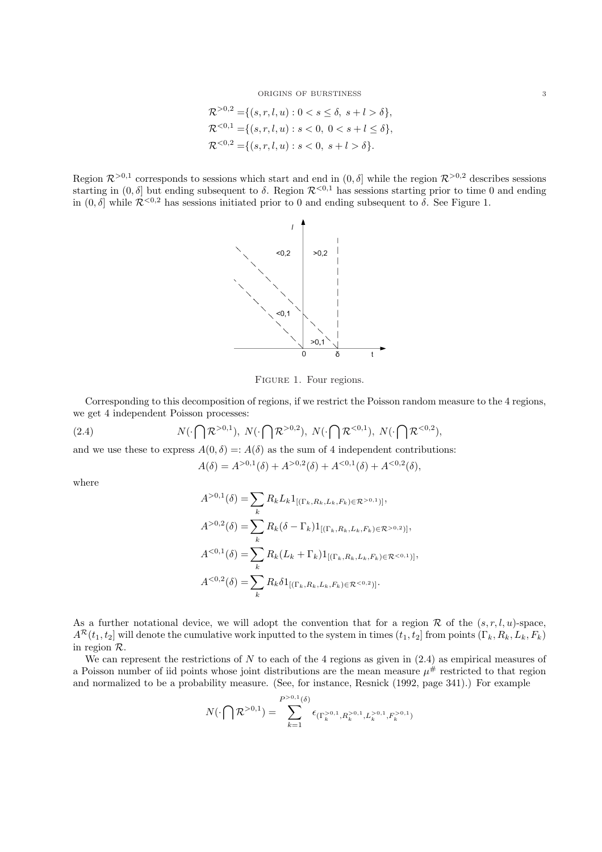$$
\mathcal{R}^{>0,2} = \{(s,r,l,u) : 0 < s \le \delta, \ s+l > \delta\},\
$$
  

$$
\mathcal{R}^{<0,1} = \{(s,r,l,u) : s < 0, \ 0 < s+l \le \delta\},\
$$
  

$$
\mathcal{R}^{<0,2} = \{(s,r,l,u) : s < 0, \ s+l > \delta\}.
$$

Region  $\mathcal{R}^{>0,1}$  corresponds to sessions which start and end in  $(0,\delta]$  while the region  $\mathcal{R}^{>0,2}$  describes sessions starting in  $(0, \delta]$  but ending subsequent to  $\delta$ . Region  $\mathcal{R}^{<0,1}$  has sessions starting prior to time 0 and ending in  $(0, \delta]$  while  $\mathcal{R}^{<0,2}$  has sessions initiated prior to 0 and ending subsequent to  $\delta$ . See Figure 1.



FIGURE 1. Four regions.

Corresponding to this decomposition of regions, if we restrict the Poisson random measure to the 4 regions, we get 4 independent Poisson processes:

(2.4) 
$$
N(\cdot \bigcap \mathcal{R}^{>0,1}), N(\cdot \bigcap \mathcal{R}^{>0,2}), N(\cdot \bigcap \mathcal{R}^{<0,1}), N(\cdot \bigcap \mathcal{R}^{<0,2}),
$$

and we use these to express  $A(0, \delta) =: A(\delta)$  as the sum of 4 independent contributions:

$$
A(\delta) = A^{>0,1}(\delta) + A^{>0,2}(\delta) + A^{<0,1}(\delta) + A^{<0,2}(\delta),
$$

where

$$
A^{>0,1}(\delta) = \sum_{k} R_{k} L_{k} 1_{[(\Gamma_{k}, R_{k}, L_{k}, F_{k}) \in \mathcal{R}^{>0,1})]},
$$
  
\n
$$
A^{>0,2}(\delta) = \sum_{k} R_{k}(\delta - \Gamma_{k}) 1_{[(\Gamma_{k}, R_{k}, L_{k}, F_{k}) \in \mathcal{R}^{>0,2})]},
$$
  
\n
$$
A^{<0,1}(\delta) = \sum_{k} R_{k} (L_{k} + \Gamma_{k}) 1_{[(\Gamma_{k}, R_{k}, L_{k}, F_{k}) \in \mathcal{R}^{<0,1})]},
$$
  
\n
$$
A^{<0,2}(\delta) = \sum_{k} R_{k} \delta 1_{[(\Gamma_{k}, R_{k}, L_{k}, F_{k}) \in \mathcal{R}^{<0,2})]}.
$$

As a further notational device, we will adopt the convention that for a region  $\mathcal R$  of the  $(s, r, l, u)$ -space,  $A^{\mathcal{R}}(t_1, t_2]$  will denote the cumulative work inputted to the system in times  $(t_1, t_2]$  from points  $(\Gamma_k, R_k, L_k, F_k)$ in region R.

We can represent the restrictions of N to each of the 4 regions as given in  $(2.4)$  as empirical measures of a Poisson number of iid points whose joint distributions are the mean measure  $\mu^{\#}$  restricted to that region and normalized to be a probability measure. (See, for instance, Resnick (1992, page 341).) For example

$$
N(\cdot \bigcap \mathcal{R}^{>0,1}) = \sum_{k=1}^{P^{>0,1}(\delta)} \epsilon_{(\Gamma_k^{>0,1}, R_k^{>0,1}, L_k^{>0,1}, F_k^{>0,1})}
$$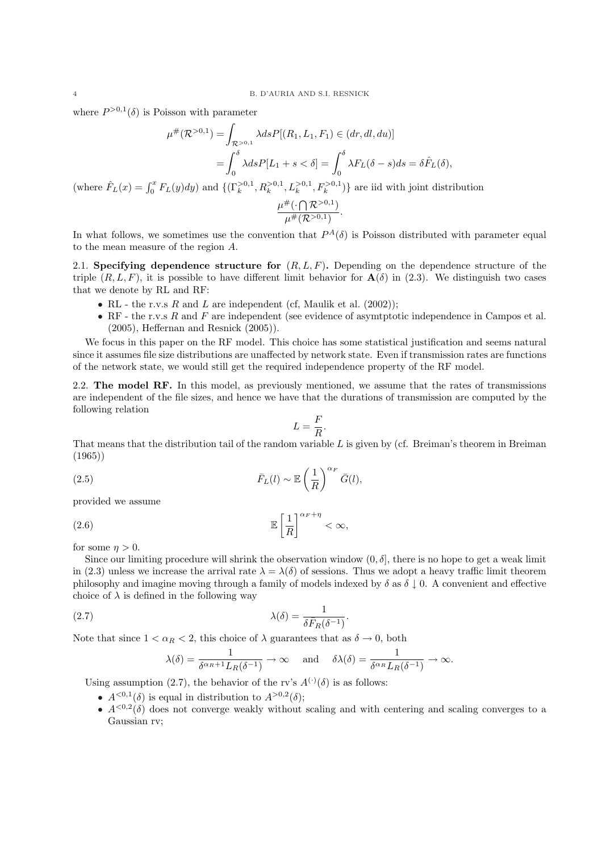where  $P^{>0,1}(\delta)$  is Poisson with parameter

$$
\mu^{\#}(\mathcal{R}^{>0,1}) = \int_{\mathcal{R}^{>0,1}} \lambda ds P[(R_1, L_1, F_1) \in (dr, dl, du)]
$$

$$
= \int_0^{\delta} \lambda ds P[L_1 + s < \delta] = \int_0^{\delta} \lambda F_L(\delta - s) ds = \delta \hat{F}_L(\delta),
$$
  
(where  $\hat{F}_L(x) = \int_0^x F_L(y) dy$ ) and  $\{ (\Gamma_k^{>0,1}, R_k^{>0,1}, L_k^{>0,1}, F_k^{>0,1}) \}$  are iid with joint distribution 
$$
\frac{\mu^{\#}(\cdot \bigcap \mathcal{R}^{>0,1})}{\mu^{\#}(\mathcal{R}^{>0,1})}.
$$

In what follows, we sometimes use the convention that  $P^{A}(\delta)$  is Poisson distributed with parameter equal to the mean measure of the region A.

2.1. Specifying dependence structure for  $(R, L, F)$ . Depending on the dependence structure of the triple  $(R, L, F)$ , it is possible to have different limit behavior for  $\mathbf{A}(\delta)$  in (2.3). We distinguish two cases that we denote by RL and RF:

- RL the r.v.s  $R$  and  $L$  are independent (cf, Maulik et al. (2002));
- RF the r.v.s  $R$  and  $F$  are independent (see evidence of asymptotic independence in Campos et al. (2005), Heffernan and Resnick (2005)).

We focus in this paper on the RF model. This choice has some statistical justification and seems natural since it assumes file size distributions are unaffected by network state. Even if transmission rates are functions of the network state, we would still get the required independence property of the RF model.

2.2. The model RF. In this model, as previously mentioned, we assume that the rates of transmissions are independent of the file sizes, and hence we have that the durations of transmission are computed by the following relation

$$
L = \frac{F}{R}.
$$

That means that the distribution tail of the random variable  $L$  is given by (cf. Breiman's theorem in Breiman (1965))

(2.5) 
$$
\bar{F}_L(l) \sim \mathbb{E}\left(\frac{1}{R}\right)^{\alpha_F} \bar{G}(l),
$$

provided we assume

(2.6) 
$$
\mathbb{E}\left[\frac{1}{R}\right]^{\alpha_F + \eta} < \infty,
$$

for some  $\eta > 0$ .

Since our limiting procedure will shrink the observation window  $(0, \delta]$ , there is no hope to get a weak limit in (2.3) unless we increase the arrival rate  $\lambda = \lambda(\delta)$  of sessions. Thus we adopt a heavy traffic limit theorem philosophy and imagine moving through a family of models indexed by  $\delta$  as  $\delta \downarrow 0$ . A convenient and effective choice of  $\lambda$  is defined in the following way

.

(2.7) 
$$
\lambda(\delta) = \frac{1}{\delta \bar{F}_R(\delta^{-1})}
$$

Note that since  $1 < \alpha_R < 2$ , this choice of  $\lambda$  guarantees that as  $\delta \to 0$ , both

$$
\lambda(\delta) = \frac{1}{\delta^{\alpha_R+1} L_R(\delta^{-1})} \to \infty
$$
 and  $\delta\lambda(\delta) = \frac{1}{\delta^{\alpha_R} L_R(\delta^{-1})} \to \infty$ .

Using assumption (2.7), the behavior of the rv's  $A^{(\cdot)}(\delta)$  is as follows:

- $A^{<0,1}(\delta)$  is equal in distribution to  $A^{>0,2}(\delta)$ ;
- $A^{<0,2}(\delta)$  does not converge weakly without scaling and with centering and scaling converges to a Gaussian rv;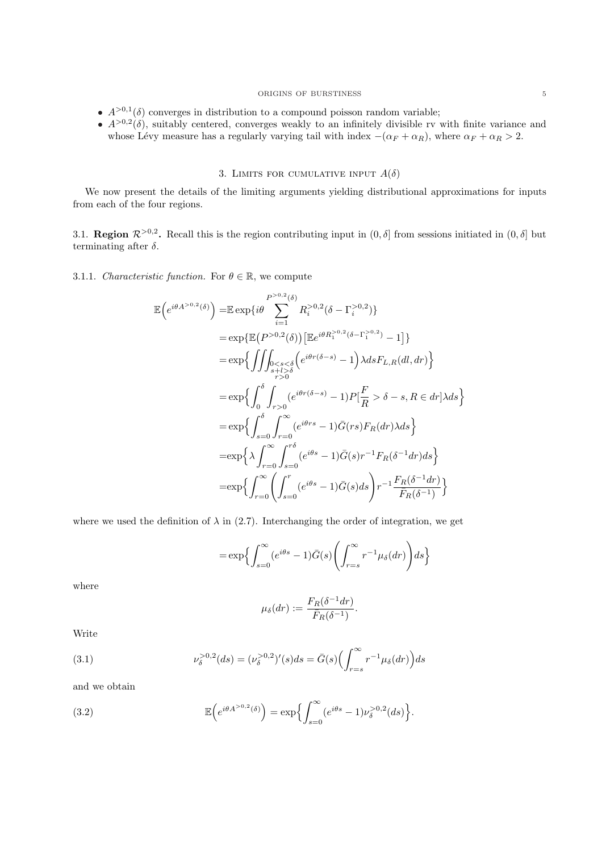### ORIGINS OF BURSTINESS  $\qquad \qquad \, 5$

- $A^{>0,1}(\delta)$  converges in distribution to a compound poisson random variable;
- $A^{>0,2}(\delta)$ , suitably centered, converges weakly to an infinitely divisible rv with finite variance and whose Lévy measure has a regularly varying tail with index  $-(\alpha_F + \alpha_R)$ , where  $\alpha_F + \alpha_R > 2$ .

### 3. LIMITS FOR CUMULATIVE INPUT  $A(\delta)$

We now present the details of the limiting arguments yielding distributional approximations for inputs from each of the four regions.

3.1. **Region**  $\mathcal{R}^{>0,2}$ . Recall this is the region contributing input in  $(0, \delta]$  from sessions initiated in  $(0, \delta]$  but terminating after  $\delta$ .

## 3.1.1. Characteristic function. For  $\theta \in \mathbb{R}$ , we compute

 $\mathbb{E}$ 

$$
\begin{split}\n\left(e^{i\theta A^{>0,2}(\delta)}\right) &= \mathbb{E} \exp\{i\theta \sum_{i=1}^{P^{>0,2}(\delta)} R_i^{>0,2}(\delta - \Gamma_i^{>0,2})\} \\
&= \exp\{\mathbb{E}\big(P^{>0,2}(\delta)\big)\big[\mathbb{E}e^{i\theta R_1^{>0,2}(\delta - \Gamma_1^{>0,2})} - 1\big]\} \\
&= \exp\Big\{\iint_{\substack{s+l>s\\\ r>0}} \zeta_{s<0} \left(e^{i\theta r(\delta-s)} - 1\right) \lambda ds F_{L,R}(dl,dr)\Big\} \\
&= \exp\Big\{\int_0^\delta \int_{r>0} \left(e^{i\theta r(\delta-s)} - 1\right) P\left[\frac{F}{R} > \delta - s, R \in dr\right] \lambda ds\Big\} \\
&= \exp\Big\{\int_{s=0}^\delta \int_{r=0}^\infty \left(e^{i\theta rs} - 1\right) \bar{G}(rs) F_R(dr) \lambda ds\Big\} \\
&= \exp\Big\{\lambda \int_{r=0}^\infty \int_{s=0}^{r\delta} \left(e^{i\theta s} - 1\right) \bar{G}(s) r^{-1} F_R(\delta^{-1} dr) ds\Big\} \\
&= \exp\Big\{\int_{r=0}^\infty \left(\int_{s=0}^r \left(e^{i\theta s} - 1\right) \bar{G}(s) ds\right) r^{-1} \frac{F_R(\delta^{-1} dr)}{\bar{F}_R(\delta^{-1})}\Big\}\n\end{split}
$$

where we used the definition of  $\lambda$  in (2.7). Interchanging the order of integration, we get

$$
= \exp\Bigl\{\int_{s=0}^\infty (e^{i\theta s}-1)\bar{G}(s)\Biggl(\int_{r=s}^\infty r^{-1}\mu_\delta(dr)\Biggr)ds\Bigr\}
$$

where

$$
\mu_{\delta}(dr) := \frac{F_R(\delta^{-1} dr)}{\bar{F}_R(\delta^{-1})}.
$$

Write

(3.1) 
$$
\nu_{\delta}^{>0,2}(ds) = (\nu_{\delta}^{>0,2})'(s)ds = \bar{G}(s)\left(\int_{r=s}^{\infty} r^{-1} \mu_{\delta}(dr)\right)ds
$$

and we obtain

(3.2) 
$$
\mathbb{E}\left(e^{i\theta A^{>0,2}(\delta)}\right) = \exp\left\{\int_{s=0}^{\infty} (e^{i\theta s} - 1) \nu_{\delta}^{>0,2}(ds)\right\}.
$$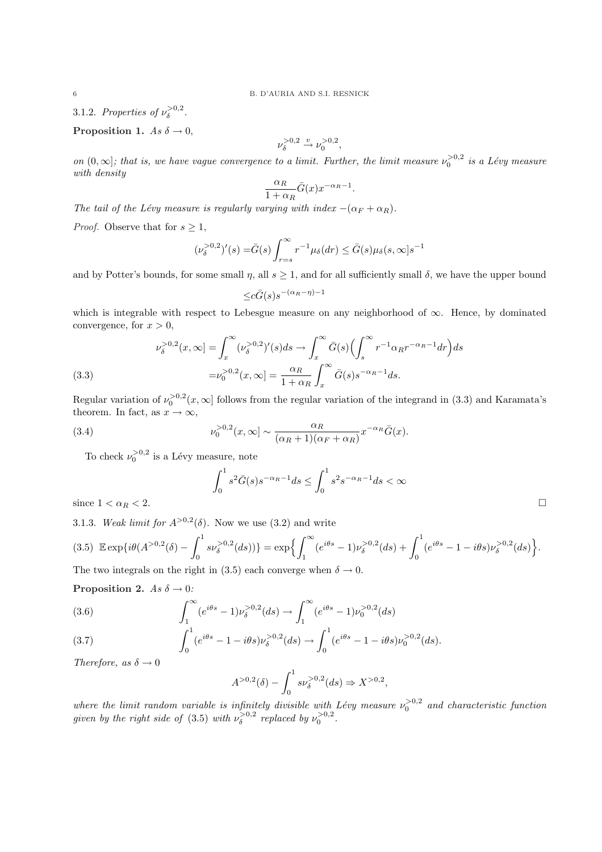3.1.2. Properties of  $\nu_{\delta}^{>0,2}$ .

### Proposition 1. As  $\delta \rightarrow 0$ ,

$$
\nu_\delta^{>0,2}\xrightarrow{v}\nu_0^{>0,2},
$$

on  $(0, \infty]$ ; that is, we have vague convergence to a limit. Further, the limit measure  $\nu_0^{>0,2}$  is a Lévy measure with density

$$
\frac{\alpha_R}{1 + \alpha_R} \bar{G}(x) x^{-\alpha_R - 1}.
$$

The tail of the Lévy measure is regularly varying with index  $-(\alpha_F + \alpha_R)$ .

*Proof.* Observe that for  $s \geq 1$ ,

$$
(\nu_{\delta}^{>0,2})'(s) = \bar{G}(s) \int_{r=s}^{\infty} r^{-1} \mu_{\delta}(dr) \le \bar{G}(s) \mu_{\delta}(s,\infty) s^{-1}
$$

and by Potter's bounds, for some small  $\eta$ , all  $s \geq 1$ , and for all sufficiently small  $\delta$ , we have the upper bound

$$
\leq c\bar{G}(s)s^{-(\alpha_R-\eta)-1}
$$

which is integrable with respect to Lebesgue measure on any neighborhood of ∞. Hence, by dominated convergence, for  $x > 0$ ,

(3.3)  

$$
\nu_{\delta}^{>0,2}(x,\infty) = \int_x^{\infty} (\nu_{\delta}^{>0,2})'(s)ds \to \int_x^{\infty} \bar{G}(s) \left(\int_s^{\infty} r^{-1} \alpha_R r^{-\alpha_R - 1} dr\right) ds
$$

$$
= \nu_0^{>0,2}(x,\infty) = \frac{\alpha_R}{1 + \alpha_R} \int_x^{\infty} \bar{G}(s) s^{-\alpha_R - 1} ds.
$$

Regular variation of  $\nu_0^{>0,2}(x,\infty]$  follows from the regular variation of the integrand in (3.3) and Karamata's theorem. In fact, as  $x \to \infty$ ,

(3.4) 
$$
\nu_0^{>0,2}(x,\infty) \sim \frac{\alpha_R}{(\alpha_R+1)(\alpha_F+\alpha_R)} x^{-\alpha_R} \bar{G}(x).
$$

To check  $\nu_0^{>0,2}$  is a Lévy measure, note

$$
\int_0^1 s^2 \bar{G}(s) s^{-\alpha_R -1} ds \le \int_0^1 s^2 s^{-\alpha_R -1} ds < \infty
$$
  
since  $1 < \alpha_R < 2$ .

3.1.3. Weak limit for  $A^{>0,2}(\delta)$ . Now we use (3.2) and write

$$
(3.5) \mathbb{E} \exp\{i\theta(A^{>0,2}(\delta) - \int_0^1 s\nu_\delta^{>0,2}(ds))\} = \exp\Big{\int_1^\infty (e^{i\theta s} - 1)\nu_\delta^{>0,2}(ds) + \int_0^1 (e^{i\theta s} - 1 - i\theta s)\nu_\delta^{>0,2}(ds)\Big}.
$$

The two integrals on the right in (3.5) each converge when  $\delta \to 0$ .

### Proposition 2. As  $\delta \rightarrow 0$ :

(3.6) 
$$
\int_{1}^{\infty} (e^{i\theta s} - 1) \nu_{\delta}^{>0,2}(ds) \rightarrow \int_{1}^{\infty} (e^{i\theta s} - 1) \nu_{0}^{>0,2}(ds)
$$

(3.7) 
$$
\int_0^1 (e^{i\theta s} - 1 - i\theta s) \nu_\delta^{>0,2}(ds) \to \int_0^1 (e^{i\theta s} - 1 - i\theta s) \nu_0^{>0,2}(ds).
$$

Therefore, as  $\delta \to 0$ 

$$
A^{>0,2}(\delta) - \int_0^1 s \nu_\delta^{>0,2}(ds) \Rightarrow X^{>0,2},
$$

where the limit random variable is infinitely divisible with Lévy measure  $\nu_0^{>0,2}$  and characteristic function given by the right side of (3.5) with  $\nu_{\delta}^{>0,2}$  replaced by  $\nu_0^{>0,2}$ .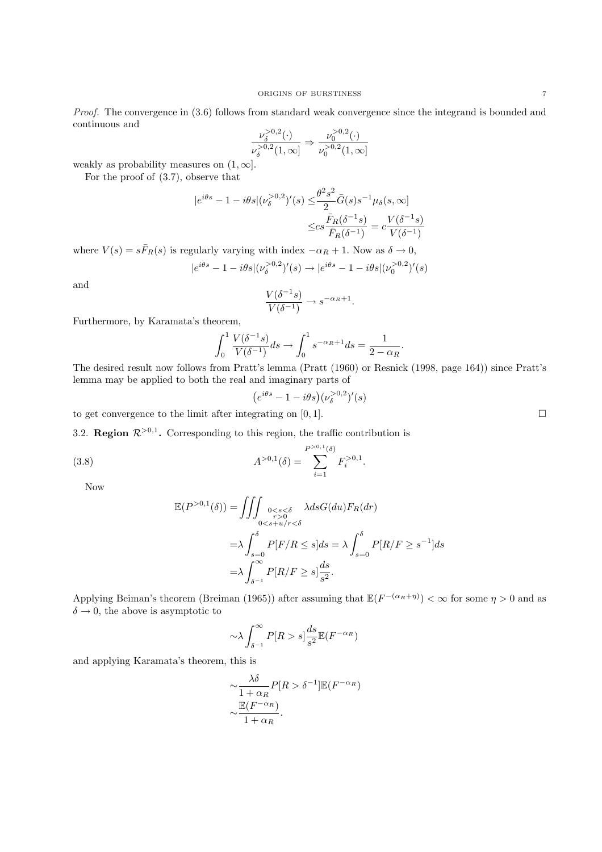Proof. The convergence in  $(3.6)$  follows from standard weak convergence since the integrand is bounded and continuous and

$$
\frac{\nu_{\delta}^{>0,2}(\cdot)}{\nu_{\delta}^{>0,2}(1,\infty)} \Rightarrow \frac{\nu_{0}^{>0,2}(\cdot)}{\nu_{0}^{>0,2}(1,\infty)}
$$

weakly as probability measures on  $(1, \infty]$ .

For the proof of (3.7), observe that

$$
|e^{i\theta s} - 1 - i\theta s |(\nu_{\delta}^{>0,2})'(s) \le \frac{\theta^2 s^2}{2} \bar{G}(s) s^{-1} \mu_{\delta}(s,\infty)
$$

$$
\le c s \frac{\bar{F}_R(\delta^{-1}s)}{\bar{F}_R(\delta^{-1})} = c \frac{V(\delta^{-1}s)}{V(\delta^{-1})}
$$

where  $V(s) = s\bar{F}_R(s)$  is regularly varying with index  $-\alpha_R + 1$ . Now as  $\delta \to 0$ ,

$$
|e^{i\theta s} - 1 - i\theta s |(\nu_{\delta}^{>0,2})'(s) \to |e^{i\theta s} - 1 - i\theta s |(\nu_{0}^{>0,2})'(s)
$$

and

$$
\frac{V(\delta^{-1}s)}{V(\delta^{-1})}\to s^{-\alpha_R+1}.
$$

Furthermore, by Karamata's theorem,

$$
\int_0^1 \frac{V(\delta^{-1}s)}{V(\delta^{-1})} ds \to \int_0^1 s^{-\alpha_R + 1} ds = \frac{1}{2 - \alpha_R}.
$$

The desired result now follows from Pratt's lemma (Pratt (1960) or Resnick (1998, page 164)) since Pratt's lemma may be applied to both the real and imaginary parts of

$$
(e^{i\theta s} - 1 - i\theta s)(\nu_{\delta}^{>0,2})'(s)
$$

to get convergence to the limit after integrating on  $[0, 1]$ .

3.2. Region  $\mathcal{R}^{>0,1}$ . Corresponding to this region, the traffic contribution is

(3.8) 
$$
A^{>0,1}(\delta) = \sum_{i=1}^{P^{>0,1}(\delta)} F_i^{>0,1}.
$$

Now

$$
\mathbb{E}(P^{>0,1}(\delta)) = \iiint_{\substack{0 < s < \delta \\ r > 0}} \lambda ds G(du) F_R(dr)
$$
\n
$$
= \lambda \int_{s=0}^{\delta} P[F/R \le s] ds = \lambda \int_{s=0}^{\delta} P[R/F \ge s^{-1}] ds
$$
\n
$$
= \lambda \int_{\delta^{-1}}^{\infty} P[R/F \ge s] \frac{ds}{s^2}.
$$

Applying Beiman's theorem (Breiman (1965)) after assuming that  $\mathbb{E}(F^{-(\alpha_R+\eta)}) < \infty$  for some  $\eta > 0$  and as  $\delta \rightarrow 0$ , the above is asymptotic to

$$
\sim \lambda \int_{\delta^{-1}}^{\infty} P[R > s] \frac{ds}{s^2} \mathbb{E}(F^{-\alpha_R})
$$

and applying Karamata's theorem, this is

$$
\sim \frac{\lambda \delta}{1 + \alpha_R} P[R > \delta^{-1}] \mathbb{E}(F^{-\alpha_R})
$$

$$
\sim \frac{\mathbb{E}(F^{-\alpha_R})}{1 + \alpha_R}.
$$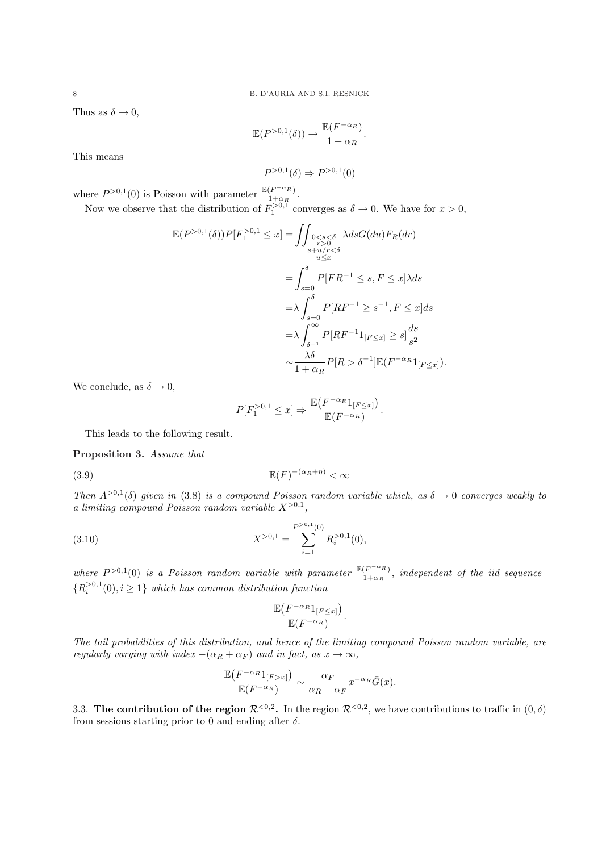Thus as  $\delta \to 0$ ,

$$
\mathbb{E}(P^{>0,1}(\delta)) \to \frac{\mathbb{E}(F^{-\alpha_R})}{1+\alpha_R}.
$$

This means

$$
P^{>0,1}(\delta) \Rightarrow P^{>0,1}(0)
$$

where  $P^{>0,1}(0)$  is Poisson with parameter  $\frac{\mathbb{E}(F^{-\alpha_R})}{1+\alpha_R}$  $\frac{\left(F^{\left(-R\right)}\right)}{1+\alpha_R}$ .

Now we observe that the distribution of  $F_1^{>0,1}$  converges as  $\delta \to 0$ . We have for  $x > 0$ ,

$$
\mathbb{E}(P^{>0,1}(\delta))P[F_1^{>0,1} \leq x] = \iint_{\substack{r>0 \leq s < \delta \\ s+u/r < \delta}} \lambda ds G(du) F_R(dr)
$$
  
\n
$$
= \int_{s=0}^{\delta} P[FR^{-1} \leq s, F \leq x] \lambda ds
$$
  
\n
$$
= \lambda \int_{s=0}^{\delta} P[RF^{-1} \geq s^{-1}, F \leq x] ds
$$
  
\n
$$
= \lambda \int_{\delta^{-1}}^{\infty} P[RF^{-1}1_{[F \leq x]} \geq s] \frac{ds}{s^2}
$$
  
\n
$$
\sim \frac{\lambda \delta}{1 + \alpha_R} P[R > \delta^{-1}] \mathbb{E}(F^{-\alpha_R}1_{[F \leq x]}).
$$

We conclude, as  $\delta \to 0$ ,

$$
P[F_1^{>0,1} \leq x] \Rightarrow \frac{\mathbb{E}(F^{-\alpha_R}1_{[F \leq x]})}{\mathbb{E}(F^{-\alpha_R})}.
$$

This leads to the following result.

Proposition 3. Assume that

 $\mathbb{E}(F)$  $\mathbb{E}(F)^{-(\alpha_R+\eta)} < \infty$ 

Then  $A^{>0,1}(\delta)$  given in (3.8) is a compound Poisson random variable which, as  $\delta \to 0$  converges weakly to a limiting compound Poisson random variable  $X^{>0,1}$ ,

(3.10) 
$$
X^{>0,1} = \sum_{i=1}^{P^{>0,1}(0)} R_i^{>0,1}(0),
$$

where  $P^{>0,1}(0)$  is a Poisson random variable with parameter  $\frac{\mathbb{E}(F^{-\alpha_R})}{1+\alpha_R}$  $\frac{F^{(-n)}}{1+\alpha_R}$ , independent of the iid sequence  ${R_i^{>0,1}(0), i \geq 1}$  which has common distribution function

$$
\frac{\mathbb{E}(F^{-\alpha_R}\mathbb{1}_{[F\leq x]})}{\mathbb{E}(F^{-\alpha_R})}.
$$

The tail probabilities of this distribution, and hence of the limiting compound Poisson random variable, are regularly varying with index  $-(\alpha_R + \alpha_F)$  and in fact, as  $x \to \infty$ ,

$$
\frac{\mathbb{E}(F^{-\alpha_R}\mathbb{1}_{[F>x]})}{\mathbb{E}(F^{-\alpha_R})} \sim \frac{\alpha_F}{\alpha_R + \alpha_F} x^{-\alpha_R} \bar{G}(x).
$$

3.3. The contribution of the region  $\mathcal{R}^{<0,2}$ . In the region  $\mathcal{R}^{<0,2}$ , we have contributions to traffic in  $(0, \delta)$ from sessions starting prior to 0 and ending after  $\delta$ .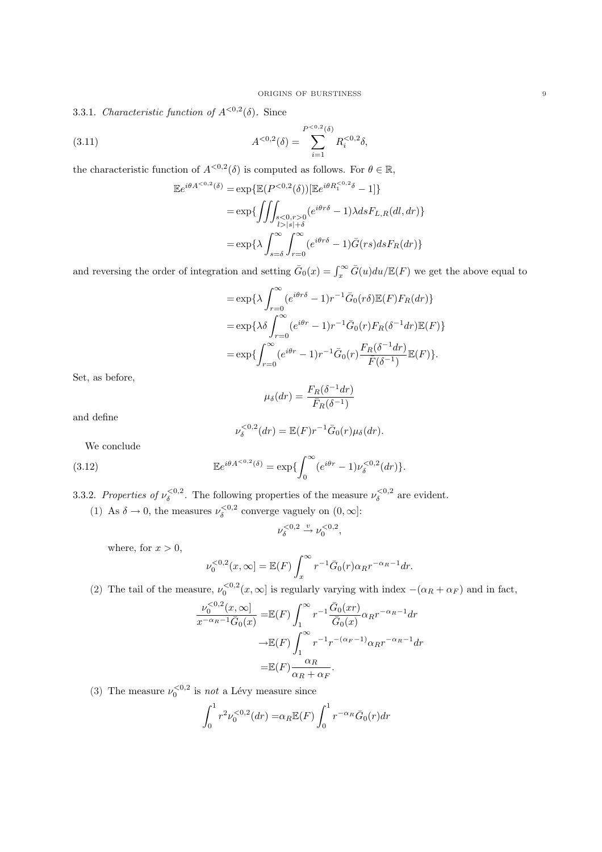3.3.1. Characteristic function of  $A^{<0,2}(\delta)$ . Since

(3.11) 
$$
A^{<0,2}(\delta) = \sum_{i=1}^{P^{<0,2}(\delta)} R_i^{<0,2} \delta,
$$

the characteristic function of  $A^{<0,2}(\delta)$  is computed as follows. For  $\theta \in \mathbb{R}$ ,

$$
\mathbb{E}e^{i\theta A^{<0,2}(\delta)} = \exp\{\mathbb{E}(P^{<0,2}(\delta))[\mathbb{E}e^{i\theta R_1^{<0,2}\delta} - 1]\}
$$
  
\n
$$
= \exp\{\iint_{\substack{s < 0,r > 0 \\ l > |s| + \delta}} (e^{i\theta r \delta} - 1) \lambda ds F_{L,R}(dl, dr)\}
$$
  
\n
$$
= \exp\{\lambda \int_{s = \delta}^{\infty} \int_{r=0}^{\infty} (e^{i\theta r \delta} - 1) \bar{G}(rs) ds F_R(dr)\}
$$

and reversing the order of integration and setting  $\bar{G}_0(x) = \int_x^{\infty} \bar{G}(u) du / \mathbb{E}(F)$  we get the above equal to

$$
= \exp\{\lambda \int_{r=0}^{\infty} (e^{i\theta r \delta} - 1)r^{-1} \bar{G}_0(r\delta) \mathbb{E}(F) F_R(dr)\}
$$
  

$$
= \exp\{\lambda \delta \int_{r=0}^{\infty} (e^{i\theta r} - 1)r^{-1} \bar{G}_0(r) F_R(\delta^{-1} dr) \mathbb{E}(F)\}
$$
  

$$
= \exp\{\int_{r=0}^{\infty} (e^{i\theta r} - 1)r^{-1} \bar{G}_0(r) \frac{F_R(\delta^{-1} dr)}{\bar{F}(\delta^{-1})} \mathbb{E}(F)\}.
$$

Set, as before,

$$
\mu_{\delta}(dr) = \frac{F_R(\delta^{-1} dr)}{\bar{F}_R(\delta^{-1})}
$$

and define

$$
\nu_{\delta}^{<0,2}(dr) = \mathbb{E}(F)r^{-1}\bar{G}_0(r)\mu_{\delta}(dr).
$$

We conclude

(3.12) 
$$
\mathbb{E}e^{i\theta A^{<0,2}(\delta)} = \exp\{\int_0^\infty (e^{i\theta r} - 1)\nu_\delta^{<0,2}(dr)\}.
$$

3.3.2. Properties of  $\nu_{\delta}^{<0,2}$ . The following properties of the measure  $\nu_{\delta}^{<0,2}$  are evident. (1) As  $\delta \to 0$ , the measures  $\nu_{\delta}^{<0,2}$  converge vaguely on  $(0,\infty]$ :

$$
\nu_{\delta}^{<0,2} \xrightarrow{v} \nu_0^{<0,2},
$$

where, for  $x > 0$ ,

$$
\nu_0^{<0,2}(x,\infty) = \mathbb{E}(F) \int_x^{\infty} r^{-1} \bar{G}_0(r) \alpha_R r^{-\alpha_R - 1} dr.
$$

(2) The tail of the measure,  $\nu_0^{<0,2}(x,\infty)$  is regularly varying with index  $-(\alpha_R + \alpha_F)$  and in fact,

$$
\frac{\nu_0^{<0,2}(x,\infty)}{x^{-\alpha_R-1}\bar{G}_0(x)} = \mathbb{E}(F) \int_1^\infty r^{-1} \frac{\bar{G}_0(xr)}{\bar{G}_0(x)} \alpha_R r^{-\alpha_R-1} dr
$$

$$
\to \mathbb{E}(F) \int_1^\infty r^{-1} r^{-(\alpha_F-1)} \alpha_R r^{-\alpha_R-1} dr
$$

$$
= \mathbb{E}(F) \frac{\alpha_R}{\alpha_R + \alpha_F}.
$$

(3) The measure  $\nu_0^{\langle 0,2 \rangle}$  is *not* a Lévy measure since

$$
\int_0^1 r^2 \nu_0^{<0,2}(dr) = \alpha_R \mathbb{E}(F) \int_0^1 r^{-\alpha_R} \bar{G}_0(r) dr
$$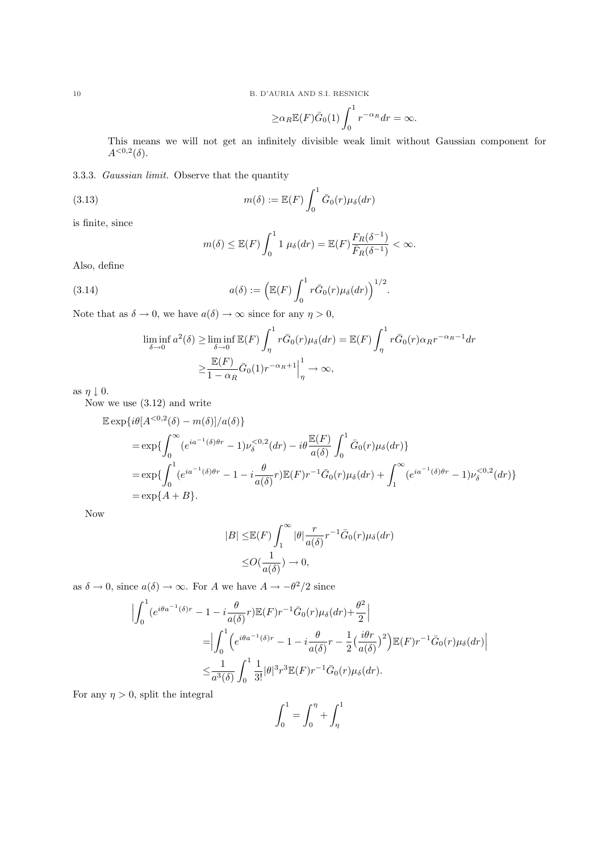10 B. D'AURIA AND S.I. RESNICK

$$
\geq \alpha_R \mathbb{E}(F)\bar{G}_0(1) \int_0^1 r^{-\alpha_R} dr = \infty.
$$

This means we will not get an infinitely divisible weak limit without Gaussian component for  $A^{<0,2}(\delta)$ .

3.3.3. Gaussian limit. Observe that the quantity

(3.13) 
$$
m(\delta) := \mathbb{E}(F) \int_0^1 \bar{G}_0(r) \mu_{\delta}(dr)
$$

is finite, since

$$
m(\delta) \leq \mathbb{E}(F) \int_0^1 1 \mu_{\delta}(dr) = \mathbb{E}(F) \frac{F_R(\delta^{-1})}{\overline{F}_R(\delta^{-1})} < \infty.
$$

Also, define

(3.14) 
$$
a(\delta) := \left( \mathbb{E}(F) \int_0^1 r \bar{G}_0(r) \mu_{\delta}(dr) \right)^{1/2}.
$$

Note that as  $\delta \to 0$ , we have  $a(\delta) \to \infty$  since for any  $\eta > 0$ ,

$$
\liminf_{\delta \to 0} a^2(\delta) \ge \liminf_{\delta \to 0} \mathbb{E}(F) \int_{\eta}^1 r \bar{G}_0(r) \mu_{\delta}(dr) = \mathbb{E}(F) \int_{\eta}^1 r \bar{G}_0(r) \alpha_R r^{-\alpha_R - 1} dr
$$

$$
\ge \frac{\mathbb{E}(F)}{1 - \alpha_R} \bar{G}_0(1) r^{-\alpha_R + 1} \Big|_{\eta}^1 \to \infty,
$$

as  $\eta \downarrow 0$ .

Now we use (3.12) and write

$$
\mathbb{E} \exp\{i\theta[A^{<0,2}(\delta) - m(\delta)]/a(\delta)\}\
$$
  
=  $\exp\{\int_0^\infty (e^{ia^{-1}(\delta)\theta r} - 1)\nu_\delta^{<0,2}(dr) - i\theta \frac{\mathbb{E}(F)}{a(\delta)} \int_0^1 \bar{G}_0(r)\mu_\delta(dr)\}\$   
=  $\exp\{\int_0^1 (e^{ia^{-1}(\delta)\theta r} - 1 - i\frac{\theta}{a(\delta)}r)\mathbb{E}(F)r^{-1}\bar{G}_0(r)\mu_\delta(dr) + \int_1^\infty (e^{ia^{-1}(\delta)\theta r} - 1)\nu_\delta^{<0,2}(dr)\}\$   
=  $\exp\{A + B\}.$ 

Now

$$
|B| \leq \mathbb{E}(F) \int_1^{\infty} |\theta| \frac{r}{a(\delta)} r^{-1} \bar{G}_0(r) \mu_{\delta}(dr)
$$
  

$$
\leq O(\frac{1}{a(\delta)}) \to 0,
$$

as  $\delta \to 0$ , since  $a(\delta) \to \infty$ . For A we have  $A \to -\theta^2/2$  since

$$
\left| \int_0^1 (e^{i\theta a^{-1}(\delta)r} - 1 - i \frac{\theta}{a(\delta)}r) \mathbb{E}(F)r^{-1} \bar{G}_0(r) \mu_\delta(dr) + \frac{\theta^2}{2} \right|
$$
  
\n
$$
= \left| \int_0^1 \left( e^{i\theta a^{-1}(\delta)r} - 1 - i \frac{\theta}{a(\delta)}r - \frac{1}{2} \left( \frac{i\theta r}{a(\delta)} \right)^2 \right) \mathbb{E}(F)r^{-1} \bar{G}_0(r) \mu_\delta(dr) \right|
$$
  
\n
$$
\leq \frac{1}{a^3(\delta)} \int_0^1 \frac{1}{3!} |\theta|^3 r^3 \mathbb{E}(F)r^{-1} \bar{G}_0(r) \mu_\delta(dr).
$$

For any  $\eta > 0$ , split the integral

$$
\int_0^1 = \int_0^\eta + \int_\eta^1
$$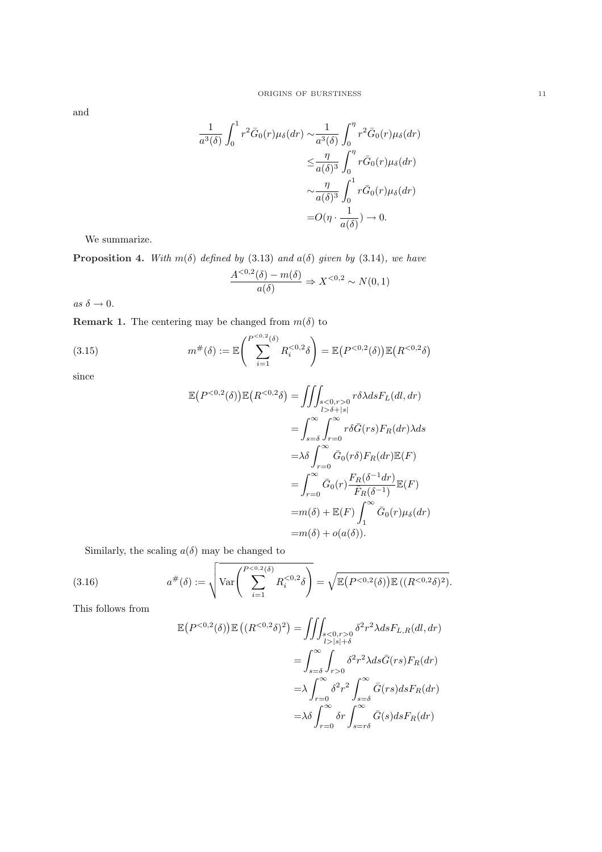and

$$
\frac{1}{a^3(\delta)} \int_0^1 r^2 \bar{G}_0(r) \mu_{\delta}(dr) \sim \frac{1}{a^3(\delta)} \int_0^{\eta} r^2 \bar{G}_0(r) \mu_{\delta}(dr)
$$

$$
\leq \frac{\eta}{a(\delta)^3} \int_0^{\eta} r \bar{G}_0(r) \mu_{\delta}(dr)
$$

$$
\sim \frac{\eta}{a(\delta)^3} \int_0^1 r \bar{G}_0(r) \mu_{\delta}(dr)
$$

$$
= O(\eta \cdot \frac{1}{a(\delta)}) \to 0.
$$

We summarize.

**Proposition 4.** With  $m(\delta)$  defined by (3.13) and  $a(\delta)$  given by (3.14), we have

$$
\frac{A^{<0,2}(\delta) - m(\delta)}{a(\delta)} \Rightarrow X^{<0,2} \sim N(0,1)
$$

as  $\delta \rightarrow 0$ .

**Remark 1.** The centering may be changed from  $m(\delta)$  to

(3.15) 
$$
m^{\#}(\delta) := \mathbb{E}\left(\sum_{i=1}^{P^{<0,2}(\delta)} R_i^{<0,2} \delta\right) = \mathbb{E}\left(P^{<0,2}(\delta)\right) \mathbb{E}\left(R^{<0,2} \delta\right)
$$

since

$$
\mathbb{E}\left(P^{<0,2}(\delta)\right)\mathbb{E}\left(R^{<0,2}\delta\right) = \iiint_{\substack{s<0,r>0\\l>b+|s|}} r\delta\lambda ds F_L(dt, dr)
$$

$$
= \int_{s=\delta}^{\infty} \int_{r=0}^{\infty} r\delta\bar{G}(rs) F_R(dr)\lambda ds
$$

$$
= \lambda \delta \int_{r=0}^{\infty} \bar{G}_0(r\delta) F_R(dr) \mathbb{E}(F)
$$

$$
= \int_{r=0}^{\infty} \bar{G}_0(r) \frac{F_R(\delta^{-1}dr)}{\bar{F}_R(\delta^{-1})} \mathbb{E}(F)
$$

$$
= m(\delta) + \mathbb{E}(F) \int_{1}^{\infty} \bar{G}_0(r) \mu_{\delta}(dr)
$$

$$
= m(\delta) + o(a(\delta)).
$$

Similarly, the scaling  $a(\delta)$  may be changed to

(3.16) 
$$
a^{\#}(\delta) := \sqrt{\text{Var}\left(\sum_{i=1}^{P^{<0,2}(\delta)} R_i^{<0,2} \delta\right)} = \sqrt{\mathbb{E}\left(P^{<0,2}(\delta)\right) \mathbb{E}\left((R^{<0,2}\delta)^2\right)}.
$$

This follows from

$$
\mathbb{E}\left(P^{<0,2}(\delta)\right)\mathbb{E}\left((R^{<0,2}\delta)^2\right) = \iiint_{\substack{s<0,r>0\\l>|s|+\delta}} \delta^2 r^2 \lambda ds F_{L,R}(dl,dr)
$$

$$
= \int_{s=\delta}^{\infty} \int_{r>0} \delta^2 r^2 \lambda ds \bar{G}(rs) F_R(dr)
$$

$$
= \lambda \int_{r=0}^{\infty} \delta^2 r^2 \int_{s=\delta}^{\infty} \bar{G}(rs) ds F_R(dr)
$$

$$
= \lambda \delta \int_{r=0}^{\infty} \delta r \int_{s=r\delta}^{\infty} \bar{G}(s) ds F_R(dr)
$$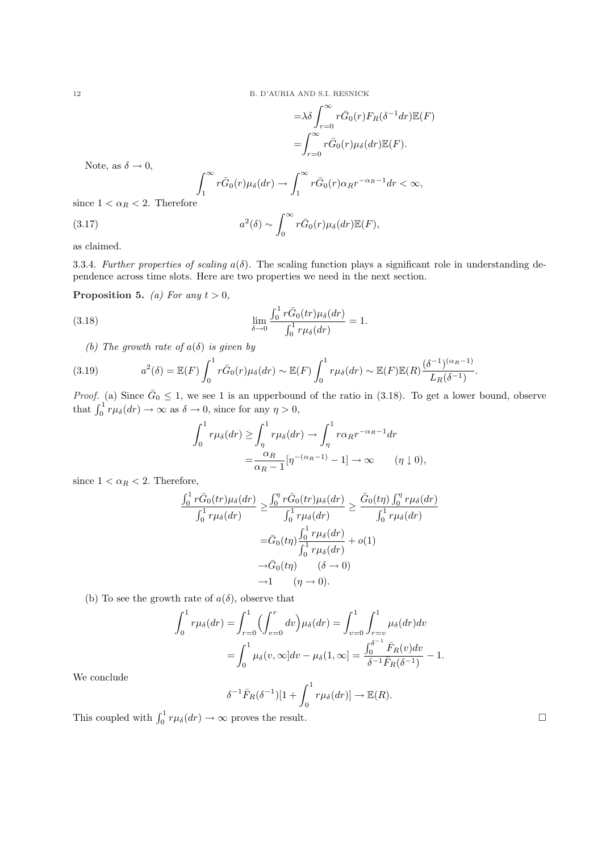$$
= \lambda \delta \int_{r=0}^{\infty} r \bar{G}_0(r) F_R(\delta^{-1} dr) \mathbb{E}(F)
$$
  
= 
$$
\int_{r=0}^{\infty} r \bar{G}_0(r) \mu_{\delta}(dr) \mathbb{E}(F).
$$

Note, as  $\delta \to 0$ ,

$$
\int_{1}^{\infty} r\bar{G}_0(r)\mu_{\delta}(dr) \to \int_{1}^{\infty} r\bar{G}_0(r)\alpha_R r^{-\alpha_R - 1} dr < \infty,
$$

since  $1 < \alpha_R < 2$ . Therefore

$$
(3.17) \t a
$$

$$
a^2(\delta) \sim \int_0^\infty r \bar{G}_0(r) \mu_\delta(dr) \mathbb{E}(F),
$$

as claimed.

3.3.4. Further properties of scaling  $a(\delta)$ . The scaling function plays a significant role in understanding dependence across time slots. Here are two properties we need in the next section.

Proposition 5. (a) For any  $t > 0$ ,

(3.18) 
$$
\lim_{\delta \to 0} \frac{\int_0^1 r \bar{G}_0(tr) \mu_{\delta}(dr)}{\int_0^1 r \mu_{\delta}(dr)} = 1.
$$

(b) The growth rate of  $a(\delta)$  is given by

(3.19) 
$$
a^2(\delta) = \mathbb{E}(F) \int_0^1 r \bar{G}_0(r) \mu_{\delta}(dr) \sim \mathbb{E}(F) \int_0^1 r \mu_{\delta}(dr) \sim \mathbb{E}(F) \mathbb{E}(R) \frac{(\delta^{-1})^{(\alpha_R - 1)}}{L_R(\delta^{-1})}.
$$

*Proof.* (a) Since  $\bar{G}_0 \le 1$ , we see 1 is an upperbound of the ratio in (3.18). To get a lower bound, observe that  $\int_0^1 r\mu_\delta(dr) \to \infty$  as  $\delta \to 0$ , since for any  $\eta > 0$ ,

$$
\int_0^1 r\mu_\delta(dr) \ge \int_\eta^1 r\mu_\delta(dr) \to \int_\eta^1 r\alpha_R r^{-\alpha_R - 1} dr
$$
  
= 
$$
\frac{\alpha_R}{\alpha_R - 1} [\eta^{-(\alpha_R - 1)} - 1] \to \infty \qquad (\eta \downarrow 0),
$$

since  $1 < \alpha_R < 2$ . Therefore,

$$
\frac{\int_0^1 r \bar{G}_0(tr)\mu_{\delta}(dr)}{\int_0^1 r \mu_{\delta}(dr)} \ge \frac{\int_0^{\eta} r \bar{G}_0(tr)\mu_{\delta}(dr)}{\int_0^1 r \mu_{\delta}(dr)} \ge \frac{\bar{G}_0(t\eta) \int_0^{\eta} r \mu_{\delta}(dr)}{\int_0^1 r \mu_{\delta}(dr)}
$$

$$
= \bar{G}_0(t\eta) \frac{\int_0^1 r \mu_{\delta}(dr)}{\int_0^1 r \mu_{\delta}(dr)} + o(1)
$$

$$
\rightarrow \bar{G}_0(t\eta) \qquad (\delta \rightarrow 0)
$$

$$
\rightarrow 1 \qquad (\eta \rightarrow 0).
$$

(b) To see the growth rate of  $a(\delta)$ , observe that

$$
\int_0^1 r\mu_{\delta}(dr) = \int_{r=0}^1 \left(\int_{v=0}^r dv\right) \mu_{\delta}(dr) = \int_{v=0}^1 \int_{r=v}^1 \mu_{\delta}(dr) dv
$$
  
= 
$$
\int_0^1 \mu_{\delta}(v, \infty] dv - \mu_{\delta}(1, \infty) = \frac{\int_0^{\delta^{-1}} \bar{F}_R(v) dv}{\delta^{-1} \bar{F}_R(\delta^{-1})} - 1.
$$

We conclude

$$
\delta^{-1}\bar{F}_R(\delta^{-1})[1+\int_0^1 r\mu_{\delta}(dr)] \to \mathbb{E}(R).
$$

This coupled with  $\int_0^1 r \mu_{\delta}(dr) \to \infty$  proves the result.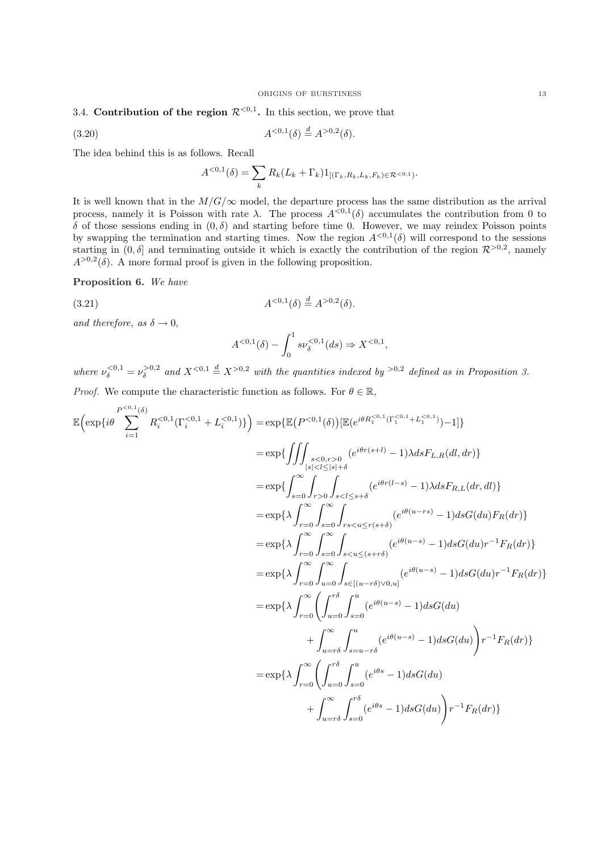### 3.4. Contribution of the region  $\mathcal{R}^{<0,1}$ . In this section, we prove that

(3.20) 
$$
A^{<0,1}(\delta) \stackrel{d}{=} A^{>0,2}(\delta).
$$

The idea behind this is as follows. Recall

$$
A^{<0,1}(\delta) = \sum_{k} R_k (L_k + \Gamma_k) 1_{[(\Gamma_k, R_k, L_k, F_k) \in \mathcal{R}^{<0,1})}.
$$

It is well known that in the  $M/G/\infty$  model, the departure process has the same distribution as the arrival process, namely it is Poisson with rate  $\lambda$ . The process  $A^{<0,1}(\delta)$  accumulates the contribution from 0 to δ of those sessions ending in (0, δ) and starting before time 0. However, we may reindex Poisson points by swapping the termination and starting times. Now the region  $A^{<0,1}(\delta)$  will correspond to the sessions starting in  $(0, \delta]$  and terminating outside it which is exactly the contribution of the region  $\mathcal{R}^{>0,2}$ , namely  $A^{>0,2}(\delta)$ . A more formal proof is given in the following proposition.

Proposition 6. We have

(3.21) 
$$
A^{<0,1}(\delta) \stackrel{d}{=} A^{>0,2}(\delta).
$$

and therefore, as  $\delta \rightarrow 0$ ,

$$
A^{<0,1}(\delta) - \int_0^1 s \nu_{\delta}^{<0,1}(ds) \Rightarrow X^{<0,1},
$$

where  $\nu_{\delta}^{<0,1} = \nu_{\delta}^{>0,2}$  and  $X^{<0,1} \stackrel{d}{=} X^{>0,2}$  with the quantities indexed by  $>0.2$  defined as in Proposition 3. *Proof.* We compute the characteristic function as follows. For  $\theta \in \mathbb{R}$ ,

$$
\mathbb{E}\Big(\exp\{i\theta \sum_{i=1}^{P^{<0,1}} R_i^{<0,1}(\Gamma_i^{<0,1} + L_i^{<0,1})\}\Big) = \exp\{\mathbb{E}\big(P^{<0,1}(\delta)\big)[\mathbb{E}(e^{i\theta R_i^{<0,1}(\Gamma_i^{<0,1} + L_i^{<0,1})}) - 1]\}
$$
\n
$$
= \exp\{\iint_{|s|<1\le|s|+\delta} (e^{i\theta r(s+t)} - 1) \lambda ds F_{L,R}(d l, dr)\}
$$
\n
$$
= \exp\{\iint_{s=0}^{\infty} \int_{r>0}^{\infty} \int_{s<1\le|s|+\delta} (e^{i\theta r(l-s)} - 1) ds F_{R,L}(dr, dl)\}
$$
\n
$$
= \exp\{\lambda \int_{r=0}^{\infty} \int_{s=0}^{\infty} \int_{s<\omega\le|s+\delta} (e^{i\theta (u-s)} - 1) ds G(du) F_R(dr)\}
$$
\n
$$
= \exp\{\lambda \int_{r=0}^{\infty} \int_{s=0}^{\infty} \int_{s<\omega\le|s+r\delta} (e^{i\theta(u-s)} - 1) ds G(du)r^{-1}F_R(dr)\}
$$
\n
$$
= \exp\{\lambda \int_{r=0}^{\infty} \int_{u=0}^{\infty} \int_{s\in[(u-r\delta)\vee 0, u]} (e^{i\theta(u-s)} - 1) ds G(du)r^{-1}F_R(dr)\}
$$
\n
$$
= \exp\{\lambda \int_{r=0}^{\infty} \left( \int_{u=0}^{r\delta} \int_{s=0}^{u} (e^{i\theta(u-s)} - 1) ds G(du) + \int_{u=r\delta}^{\infty} \int_{s=u-r\delta}^{u} (e^{i\theta(u-s)} - 1) ds G(du) \right) r^{-1}F_R(dr)\}
$$
\n
$$
= \exp\{\lambda \int_{r=0}^{\infty} \left( \int_{u=0}^{r\delta} \int_{s=u-r\delta}^{u} (e^{i\theta s} - 1) ds G(du) \right) r^{-1}F_R(dr)\}
$$
\n
$$
+ \int_{u=r\delta}^{\infty} \int_{s=0}^{r\delta} (e^{i\theta s} - 1) ds G(
$$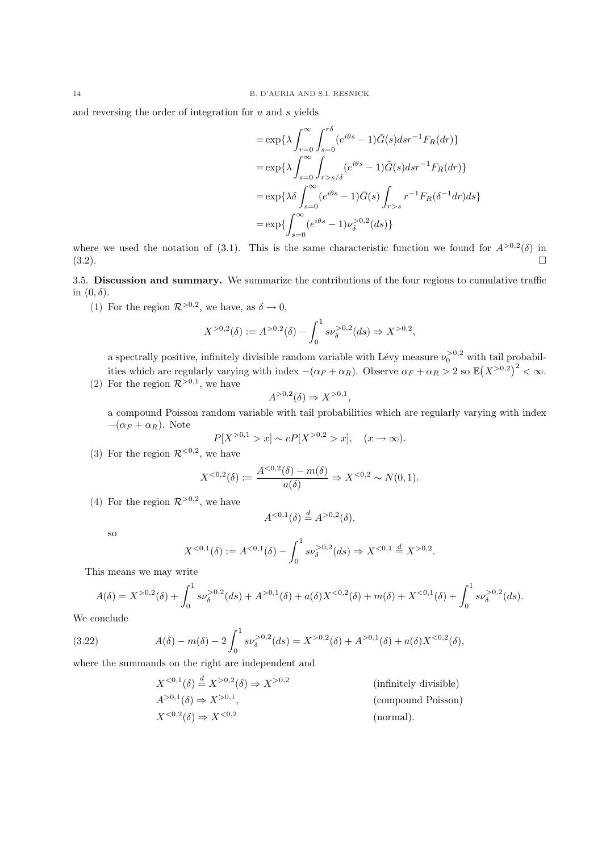and reversing the order of integration for  $u$  and  $s$  yields

$$
= \exp\{\lambda \int_{r=0}^{\infty} \int_{s=0}^{r\delta} (e^{i\theta s} - 1) \bar{G}(s) ds r^{-1} F_R(dr)\}
$$
  
\n
$$
= \exp\{\lambda \int_{s=0}^{\infty} \int_{r>s/\delta}^{r\delta} (e^{i\theta s} - 1) \bar{G}(s) ds r^{-1} F_R(dr)\}
$$
  
\n
$$
= \exp\{\lambda \delta \int_{s=0}^{\infty} (e^{i\theta s} - 1) \bar{G}(s) \int_{r>s} r^{-1} F_R(\delta^{-1} dr) ds\}
$$
  
\n
$$
= \exp\{\int_{s=0}^{\infty} (e^{i\theta s} - 1) \nu_{\delta}^{>0,2}(ds)\}
$$

where we used the notation of (3.1). This is the same characteristic function we found for  $A^{>0,2}(\delta)$  in  $(3.2).$ 

3.5. Discussion and summary. We summarize the contributions of the four regions to cumulative traffic in  $(0, \delta)$ .

(1) For the region  $\mathcal{R}^{>0,2}$ , we have, as  $\delta \to 0$ ,

$$
X^{>0,2}(\delta) := A^{>0,2}(\delta) - \int_0^1 s\nu_\delta^{>0,2}(ds) \Rightarrow X^{>0,2},
$$

a spectrally positive, infinitely divisible random variable with Lévy measure  $\nu_0^{>0,2}$  with tail probabilities which are regularly varying with index  $-(\alpha_F + \alpha_R)$ . Observe  $\alpha_F + \alpha_R > 2$  so  $\mathbb{E}(X^{>0,2})^2 < \infty$ . (2) For the region  $\mathcal{R}^{>0,1}$ , we have

$$
A^{>0,2}(\delta) \Rightarrow X^{>0,1},
$$

a compound Poisson random variable with tail probabilities which are regularly varying with index  $-(\alpha_F + \alpha_R)$ . Note

$$
P[X^{>0,1} > x] \sim cP[X^{>0,2} > x], \quad (x \to \infty).
$$

(3) For the region  $\mathcal{R}^{<0,2}$ , we have

$$
X^{<0,2}(\delta) := \frac{A^{<0,2}(\delta) - m(\delta)}{a(\delta)} \Rightarrow X^{<0,2} \sim N(0,1).
$$

(4) For the region  $\mathcal{R}^{>0,2}$ , we have

$$
A^{<0,1}(\delta) \stackrel{d}{=} A^{>0,2}(\delta),
$$

so

$$
X^{<0,1}(\delta) := A^{<0,1}(\delta) - \int_0^1 s \nu_{\delta}^{>0,2}(ds) \Rightarrow X^{<0,1} \stackrel{d}{=} X^{>0,2}.
$$

This means we may write

$$
A(\delta) = X^{>0,2}(\delta) + \int_0^1 s \nu_{\delta}^{>0,2}(ds) + A^{>0,1}(\delta) + a(\delta)X^{<0,2}(\delta) + m(\delta) + X^{<0,1}(\delta) + \int_0^1 s \nu_{\delta}^{>0,2}(ds).
$$

We conclude

(3.22) 
$$
A(\delta) - m(\delta) - 2 \int_0^1 s \nu_\delta^{>0,2}(ds) = X^{>0,2}(\delta) + A^{>0,1}(\delta) + a(\delta)X^{<0,2}(\delta),
$$

where the summands on the right are independent and

 $X^{<0,1}(\delta) \stackrel{d}{=} X^{>0,2}(\delta) \Rightarrow X^{>0,2}$ (infinitely divisible)  $A^{>0,1}(\delta) \Rightarrow X^{>0,1}$ , (compound Poisson)  $X^{<0,2}(\delta) \Rightarrow X^{<0,2}$ (normal).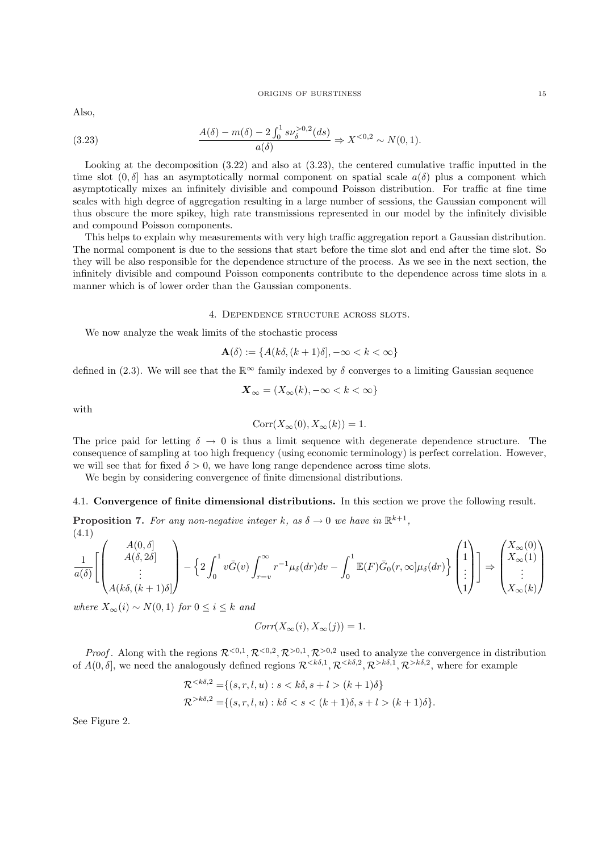#### ORIGINS OF BURSTINESS 15

Also,

(3.23) 
$$
\frac{A(\delta) - m(\delta) - 2\int_0^1 s \nu_\delta^{>0,2}(ds)}{a(\delta)} \Rightarrow X^{<0,2} \sim N(0,1).
$$

Looking at the decomposition (3.22) and also at (3.23), the centered cumulative traffic inputted in the time slot  $(0, \delta]$  has an asymptotically normal component on spatial scale  $a(\delta)$  plus a component which asymptotically mixes an infinitely divisible and compound Poisson distribution. For traffic at fine time scales with high degree of aggregation resulting in a large number of sessions, the Gaussian component will thus obscure the more spikey, high rate transmissions represented in our model by the infinitely divisible and compound Poisson components.

This helps to explain why measurements with very high traffic aggregation report a Gaussian distribution. The normal component is due to the sessions that start before the time slot and end after the time slot. So they will be also responsible for the dependence structure of the process. As we see in the next section, the infinitely divisible and compound Poisson components contribute to the dependence across time slots in a manner which is of lower order than the Gaussian components.

### 4. Dependence structure across slots.

We now analyze the weak limits of the stochastic process

$$
\mathbf{A}(\delta) := \{ A(k\delta, (k+1)\delta), -\infty < k < \infty \}
$$

defined in (2.3). We will see that the  $\mathbb{R}^{\infty}$  family indexed by  $\delta$  converges to a limiting Gaussian sequence

$$
\mathbf{X}_{\infty} = (X_{\infty}(k), -\infty < k < \infty\}
$$

with

$$
Corr(X_{\infty}(0), X_{\infty}(k)) = 1.
$$

The price paid for letting  $\delta \to 0$  is thus a limit sequence with degenerate dependence structure. The consequence of sampling at too high frequency (using economic terminology) is perfect correlation. However, we will see that for fixed  $\delta > 0$ , we have long range dependence across time slots.

We begin by considering convergence of finite dimensional distributions.

4.1. Convergence of finite dimensional distributions. In this section we prove the following result.

**Proposition 7.** For any non-negative integer k, as  $\delta \to 0$  we have in  $\mathbb{R}^{k+1}$ , (4.1)  $\overline{\phantom{a}}$  $\mathbf{r}$ 

$$
\frac{1}{a(\delta)} \left[ \begin{pmatrix} A(0,\delta) \\ A(\delta,2\delta) \\ \vdots \\ A(k\delta,(k+1)\delta) \end{pmatrix} - \left\{ 2 \int_0^1 v \bar{G}(v) \int_{r=v}^\infty r^{-1} \mu_\delta(dr) dv - \int_0^1 \mathbb{E}(F) \bar{G}_0(r,\infty] \mu_\delta(dr) \right\} \begin{pmatrix} 1 \\ 1 \\ \vdots \\ 1 \end{pmatrix} \right] \Rightarrow \begin{pmatrix} X_\infty(0) \\ X_\infty(1) \\ \vdots \\ X_\infty(k) \end{pmatrix}
$$

where  $X_{\infty}(i) \sim N(0,1)$  for  $0 \leq i \leq k$  and

$$
Corr(X_{\infty}(i), X_{\infty}(j)) = 1.
$$

*Proof.* Along with the regions  $\mathcal{R}^{<0,1}, \mathcal{R}^{<0,2}, \mathcal{R}^{>0,1}, \mathcal{R}^{>0,2}$  used to analyze the convergence in distribution of  $A(0, \delta)$ , we need the analogously defined regions  $\mathcal{R}^{<\delta,1}, \mathcal{R}^{<\delta,2}, \mathcal{R}^{>\delta,1}, \mathcal{R}^{>\delta,2}$ , where for example

$$
\mathcal{R}^{<\delta,2} = \{(s,r,l,u) : s < k\delta, s+l > (k+1)\delta\}
$$
\n
$$
\mathcal{R}^{>\delta,2} = \{(s,r,l,u) : k\delta < s < (k+1)\delta, s+l > (k+1)\delta\}.
$$

See Figure 2.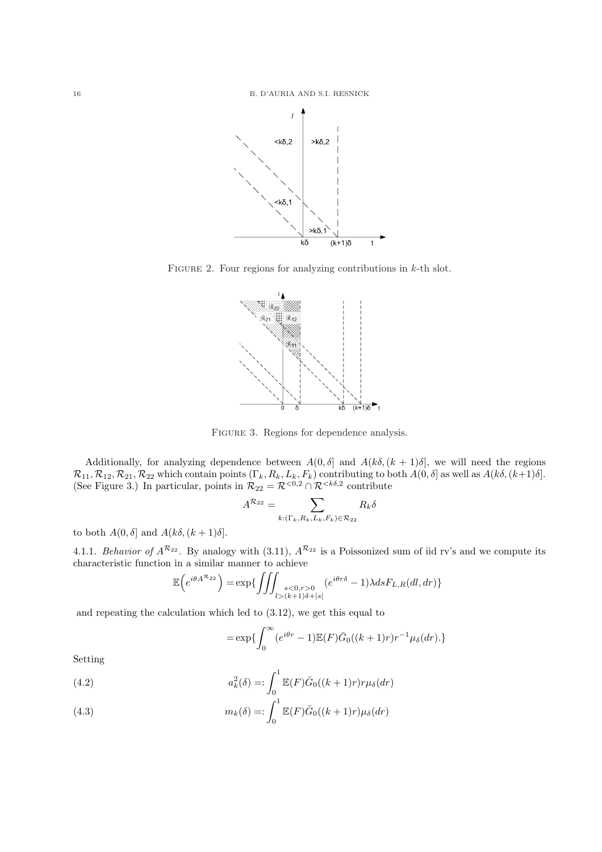

FIGURE 2. Four regions for analyzing contributions in  $k$ -th slot.



FIGURE 3. Regions for dependence analysis.

Additionally, for analyzing dependence between  $A(0, \delta]$  and  $A(k\delta, (k+1)\delta]$ , we will need the regions  $\mathcal{R}_{11}, \mathcal{R}_{12}, \mathcal{R}_{21}, \mathcal{R}_{22}$  which contain points  $(\Gamma_k, R_k, L_k, F_k)$  contributing to both  $A(0, \delta]$  as well as  $A(k\delta, (k+1)\delta]$ . (See Figure 3.) In particular, points in  $\mathcal{R}_{22} = \mathcal{R}^{<0,2} \cap \mathcal{R}^{ contribute$ 

$$
A^{\mathcal{R}_{22}} = \sum_{k: (\Gamma_k, R_k, L_k, F_k) \in \mathcal{R}_{22}} R_k \delta
$$

to both  $A(0, \delta]$  and  $A(k\delta, (k+1)\delta]$ .

4.1.1. Behavior of  $A^{\mathcal{R}_{22}}$ . By analogy with (3.11),  $A^{\mathcal{R}_{22}}$  is a Poissonized sum of iid rv's and we compute its characteristic function in a similar manner to achieve<br> $\mathbb{E}\left(e^{i\theta A^{R_{22}}}\right) = \exp\left\{\int\int\int$ 

$$
\mathbb{E}\Big(e^{i\theta A^{\mathcal{R}_{22}}}\Big) = \exp\{\iiint_{\substack{s < 0, r > 0 \\ l > (k+1)\delta + |s|}} (e^{i\theta r\delta} - 1)\lambda ds F_{L,R}(dl, dr)\}\
$$

and repeating the calculation which led to (3.12), we get this equal to

$$
=\exp\{\int_0^\infty (e^{i\theta r}-1)\mathbb{E}(F)\bar{G}_0((k+1)r)r^{-1}\mu_\delta(dr).\}
$$

Setting

(4.2) 
$$
a_k^2(\delta) =: \int_0^1 \mathbb{E}(F)\overline{G}_0((k+1)r)r\mu_{\delta}(dr)
$$

(4.3) 
$$
m_k(\delta) =: \int_0^1 \mathbb{E}(F)\overline{G}_0((k+1)r)\mu_{\delta}(dr)
$$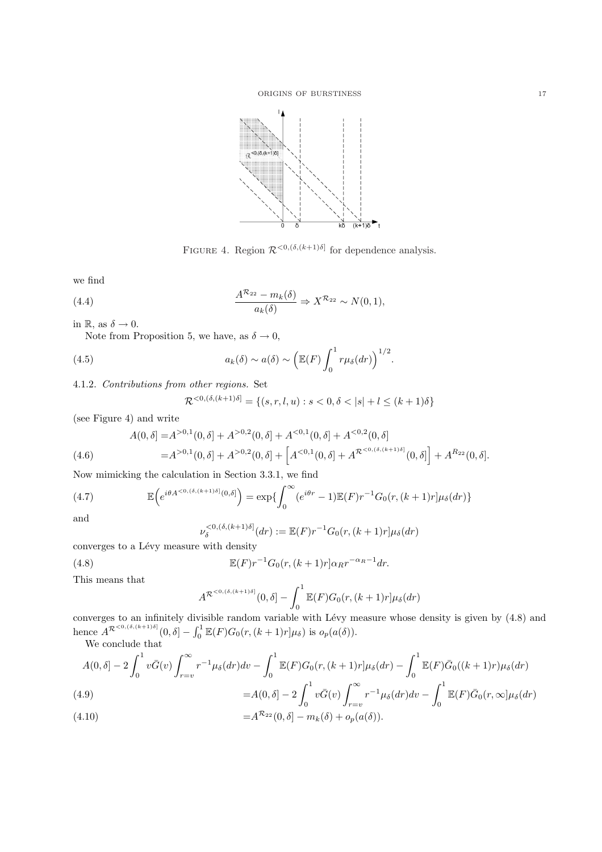

FIGURE 4. Region  $\mathcal{R}^{<0, (\delta, (k+1)\delta]}$  for dependence analysis.

we find

(4.4) 
$$
\frac{A^{\mathcal{R}_{22}} - m_k(\delta)}{a_k(\delta)} \Rightarrow X^{\mathcal{R}_{22}} \sim N(0, 1),
$$

in R, as  $\delta \to 0$ .

Note from Proposition 5, we have, as  $\delta \to 0$ ,

(4.5) 
$$
a_k(\delta) \sim a(\delta) \sim \left(\mathbb{E}(F) \int_0^1 r \mu_{\delta}(dr)\right)^{1/2}.
$$

4.1.2. Contributions from other regions. Set

$$
\mathcal{R}^{<0,(\delta,(k+1)\delta]} = \{(s,r,l,u) : s < 0, \delta < |s| + l \leq (k+1)\delta\}
$$

(see Figure 4) and write

$$
A(0,\delta) = A^{>0,1}(0,\delta) + A^{>0,2}(0,\delta) + A^{<0,1}(0,\delta) + A^{<0,2}(0,\delta)
$$
  
=  $A^{>0,1}(0,\delta) + A^{>0,2}(0,\delta) + \left[A^{<0,1}(0,\delta) + A^{\mathcal{R}^{<0,(\delta,(k+1)\delta)}}(0,\delta)\right] + A^{R_{22}}(0,\delta).$ 

Now mimicking the calculation in Section 3.3.1, we find

(4.7) 
$$
\mathbb{E}\left(e^{i\theta A^{<0,(\delta,(k+1)\delta]}(0,\delta)}\right) = \exp\left\{\int_0^\infty (e^{i\theta r}-1)\mathbb{E}(F)r^{-1}G_0(r,(k+1)r]\mu_\delta(dr)\right\}
$$

and

 $(4.8)$ 

$$
\nu_{\delta}^{<0,(\delta,(k+1)\delta]}(dr) := \mathbb{E}(F)r^{-1}G_0(r,(k+1)r]\mu_{\delta}(dr)
$$

converges to a Lévy measure with density

$$
\mathbb{E}(F)r^{-1}G_0(r,(k+1)r]\alpha_Rr^{-\alpha_R-1}dr.
$$

This means that

$$
A^{\mathcal{R}^{<0,(\delta,(k+1)\delta]}}(0,\delta]-\int_0^1\mathbb{E}(F)G_0(r,(k+1)r]\mu_\delta(dr)
$$

converges to an infinitely divisible random variable with Lévy measure whose density is given by  $(4.8)$  and hence  $A^{\mathcal{R}^{<0,(\delta,(k+1)\delta)}}(0,\delta) - \int_0^1$  $\int_0^1 \mathbb{E}(F)G_0(r,(k+1)r]\mu_\delta$  is  $o_p(a(\delta)).$ 

We conclude that  
\n
$$
A(0,\delta) - 2\int_0^1 v\bar{G}(v) \int_{r=v}^\infty r^{-1}\mu_\delta(dr)dv - \int_0^1 \mathbb{E}(F)G_0(r,(k+1)r]\mu_\delta(dr) - \int_0^1 \mathbb{E}(F)\bar{G}_0((k+1)r)\mu_\delta(dr)
$$
\n
$$
= A(0,\delta) - 2\int_0^1 v\bar{G}(v) \int_{r=v}^\infty r^{-1}\mu_\delta(dr)dv - \int_0^1 \mathbb{E}(F)\bar{G}_0(r,\infty]\mu_\delta(dr)
$$

(4.10) 
$$
=A^{\mathcal{R}_{22}}(0,\delta)-m_k(\delta)+o_p(a(\delta)).
$$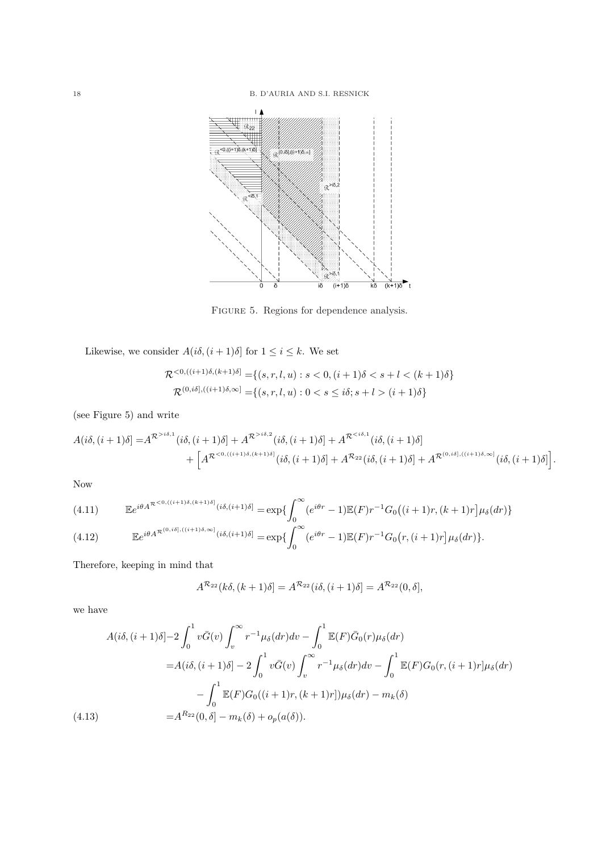

FIGURE 5. Regions for dependence analysis.

Likewise, we consider  $A(i\delta, (i+1)\delta]$  for  $1 \leq i \leq k$ . We set

$$
\mathcal{R}^{<0,((i+1)\delta,(k+1)\delta]} = \{(s,r,l,u) : s < 0, (i+1)\delta < s+l < (k+1)\delta\}
$$
\n
$$
\mathcal{R}^{(0,i\delta],((i+1)\delta,\infty)} = \{(s,r,l,u) : 0 < s \leq i\delta; s+l > (i+1)\delta\}
$$

(see Figure 5) and write

$$
A(i\delta, (i+1)\delta] = A^{\mathcal{R}^{>i\delta,1}}(i\delta, (i+1)\delta] + A^{\mathcal{R}^{>i\delta,2}}(i\delta, (i+1)\delta] + A^{\mathcal{R}^{
$$

Now

(4.11) 
$$
\mathbb{E}e^{i\theta A^{\mathcal{R}^{<0,((i+1)\delta,(k+1)\delta]}}(i\delta,(i+1)\delta)} = \exp\left\{\int_0^\infty (e^{i\theta r} - 1)\mathbb{E}(F)r^{-1}G_0\left((i+1)r,(k+1)r\right]\mu_\delta(dr)\right\}
$$

$$
(4.12) \qquad \mathbb{E}e^{i\theta A^{\mathcal{R}^{(0,i\delta],((i+1)\delta,\infty]}}(i\delta,(i+1)\delta)} = \exp\left\{\int_0^\infty (e^{i\theta r}-1)\mathbb{E}(F)r^{-1}G_0(r,(i+1)r]\mu_\delta(dr)\right\}.
$$

Therefore, keeping in mind that

$$
A^{\mathcal{R}_{22}}(k\delta, (k+1)\delta) = A^{\mathcal{R}_{22}}(i\delta, (i+1)\delta) = A^{\mathcal{R}_{22}}(0, \delta),
$$

we have

$$
A(i\delta, (i+1)\delta) - 2\int_0^1 v\bar{G}(v) \int_v^\infty r^{-1} \mu_\delta(dr) dv - \int_0^1 \mathbb{E}(F)\bar{G}_0(r) \mu_\delta(dr)
$$
  
\n
$$
= A(i\delta, (i+1)\delta) - 2\int_0^1 v\bar{G}(v) \int_v^\infty r^{-1} \mu_\delta(dr) dv - \int_0^1 \mathbb{E}(F)G_0(r, (i+1)r] \mu_\delta(dr)
$$
  
\n
$$
- \int_0^1 \mathbb{E}(F)G_0((i+1)r, (k+1)r]) \mu_\delta(dr) - m_k(\delta)
$$
  
\n(4.13) 
$$
= A^{R_{22}}(0, \delta) - m_k(\delta) + o_p(a(\delta)).
$$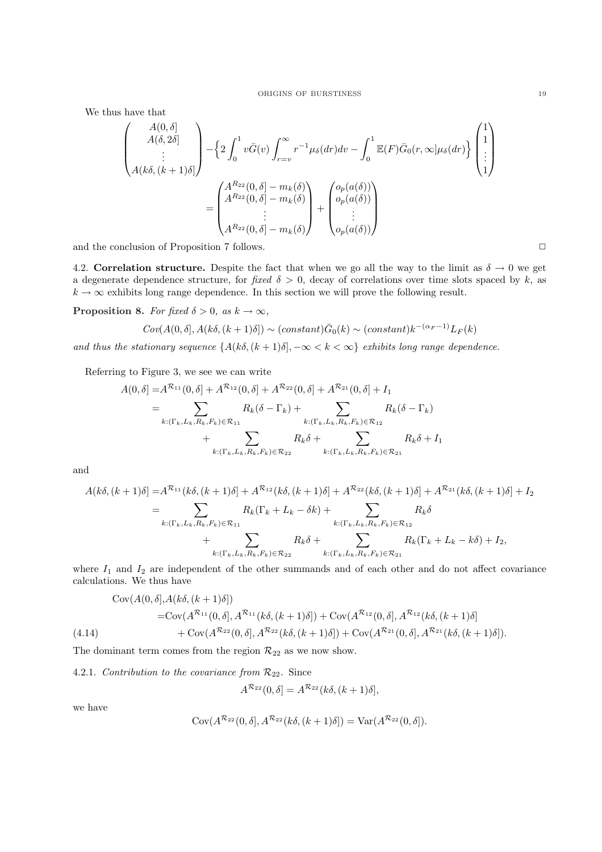We thus have that

$$
\begin{pmatrix}\nA(0, \delta) \\
A(\delta, 2\delta) \\
\vdots \\
A(k\delta, (k+1)\delta)\n\end{pmatrix} - \left\{ 2 \int_0^1 v \bar{G}(v) \int_{r=v}^\infty r^{-1} \mu_\delta(dr) dv - \int_0^1 \mathbb{E}(F) \bar{G}_0(r, \infty] \mu_\delta(dr) \right\} \begin{pmatrix}\n1 \\
1 \\
\vdots \\
1\n\end{pmatrix}
$$
\n
$$
= \begin{pmatrix}\nA^{R_{22}}(0, \delta) - m_k(\delta) \\
A^{R_{22}}(0, \delta) - m_k(\delta) \\
\vdots \\
A^{R_{22}}(0, \delta) - m_k(\delta)\n\end{pmatrix} + \begin{pmatrix}\no_p(a(\delta)) \\
o_p(a(\delta)) \\
\vdots \\
o_p(a(\delta))\n\end{pmatrix}
$$

and the conclusion of Proposition 7 follows.  $\Box$ 

4.2. Correlation structure. Despite the fact that when we go all the way to the limit as  $\delta \to 0$  we get a degenerate dependence structure, for fixed  $\delta > 0$ , decay of correlations over time slots spaced by k, as  $k \to \infty$  exhibits long range dependence. In this section we will prove the following result.

**Proposition 8.** For fixed  $\delta > 0$ , as  $k \to \infty$ ,

$$
\operatorname{Cov}(A(0,\delta], A(k\delta, (k+1)\delta]) \sim (\text{constant}) \bar{G}_0(k) \sim (\text{constant}) k^{-(\alpha_F-1)} L_F(k)
$$

and thus the stationary sequence  $\{A(k\delta,(k+1)\delta), -\infty < k < \infty\}$  exhibits long range dependence.

Referring to Figure 3, we see we can write

$$
A(0, \delta) = A^{\mathcal{R}_{11}}(0, \delta) + A^{\mathcal{R}_{12}}(0, \delta) + A^{\mathcal{R}_{22}}(0, \delta) + A^{\mathcal{R}_{21}}(0, \delta) + I_1
$$
  
= 
$$
\sum_{k: (\Gamma_k, L_k, R_k, F_k) \in \mathcal{R}_{11}} R_k(\delta - \Gamma_k) + \sum_{k: (\Gamma_k, L_k, R_k, F_k) \in \mathcal{R}_{12}} R_k(\delta - \Gamma_k)
$$
  
+ 
$$
\sum_{k: (\Gamma_k, L_k, R_k, F_k) \in \mathcal{R}_{22}} R_k \delta + \sum_{k: (\Gamma_k, L_k, R_k, F_k) \in \mathcal{R}_{21}} R_k \delta + I_1
$$

and

$$
A(k\delta, (k+1)\delta) = A^{\mathcal{R}_{11}}(k\delta, (k+1)\delta) + A^{\mathcal{R}_{12}}(k\delta, (k+1)\delta) + A^{\mathcal{R}_{22}}(k\delta, (k+1)\delta) + A^{\mathcal{R}_{21}}(k\delta, (k+1)\delta) + I_2
$$
  
\n
$$
= \sum_{k:(\Gamma_k, L_k, R_k, F_k) \in \mathcal{R}_{11}} R_k(\Gamma_k + L_k - \delta k) + \sum_{k:(\Gamma_k, L_k, R_k, F_k) \in \mathcal{R}_{12}} R_k\delta + \sum_{k:(\Gamma_k, L_k, R_k, F_k) \in \mathcal{R}_{21}} R_k(\Gamma_k + L_k - k\delta) + I_2,
$$

where  $I_1$  and  $I_2$  are independent of the other summands and of each other and do not affect covariance calculations. We thus have

$$
\begin{aligned}\n\text{Cov}(A(0,\delta], A(k\delta, (k+1)\delta]) \\
&= \text{Cov}(A^{\mathcal{R}_{11}}(0,\delta], A^{\mathcal{R}_{11}}(k\delta, (k+1)\delta]) + \text{Cov}(A^{\mathcal{R}_{12}}(0,\delta], A^{\mathcal{R}_{12}}(k\delta, (k+1)\delta]) \\
&\quad + \text{Cov}(A^{\mathcal{R}_{22}}(0,\delta], A^{\mathcal{R}_{22}}(k\delta, (k+1)\delta]) + \text{Cov}(A^{\mathcal{R}_{21}}(0,\delta], A^{\mathcal{R}_{21}}(k\delta, (k+1)\delta]).\n\end{aligned}
$$

The dominant term comes from the region  $\mathcal{R}_{22}$  as we now show.

4.2.1. Contribution to the covariance from  $\mathcal{R}_{22}$ . Since

$$
A^{\mathcal{R}_{22}}(0,\delta) = A^{\mathcal{R}_{22}}(k\delta, (k+1)\delta),
$$

we have

$$
Cov(A^{\mathcal{R}_{22}}(0,\delta], A^{\mathcal{R}_{22}}(k\delta, (k+1)\delta]) = Var(A^{\mathcal{R}_{22}}(0,\delta)).
$$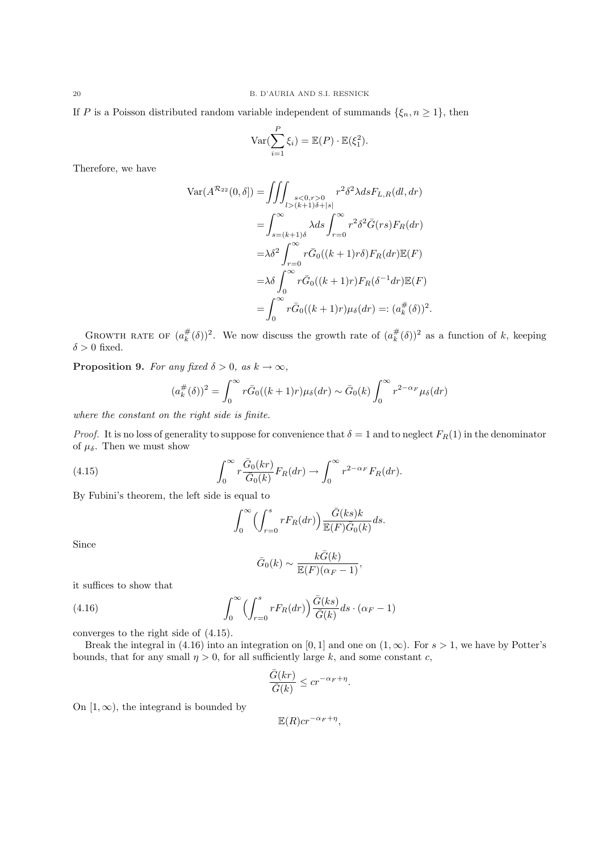If P is a Poisson distributed random variable independent of summands  $\{\xi_n, n \geq 1\}$ , then

$$
\operatorname{Var}(\sum_{i=1}^{P} \xi_i) = \mathbb{E}(P) \cdot \mathbb{E}(\xi_1^2).
$$

Therefore, we have

$$
\operatorname{Var}(A^{\mathcal{R}_{22}}(0,\delta]) = \iiint_{l>(k+1)\delta+|s|} r^2 \delta^2 \lambda ds F_{L,R}(dl,dr)
$$
  
\n
$$
= \int_{s=(k+1)\delta}^{\infty} \lambda ds \int_{r=0}^{\infty} r^2 \delta^2 \bar{G}(rs) F_R(dr)
$$
  
\n
$$
= \lambda \delta^2 \int_{r=0}^{\infty} r \bar{G}_0((k+1)r\delta) F_R(dr) \mathbb{E}(F)
$$
  
\n
$$
= \lambda \delta \int_0^{\infty} r \bar{G}_0((k+1)r) F_R(\delta^{-1} dr) \mathbb{E}(F)
$$
  
\n
$$
= \int_0^{\infty} r \bar{G}_0((k+1)r) \mu_{\delta}(dr) =: (a_k^{\#}(\delta))^2.
$$

GROWTH RATE OF  $(a_k^{\#}(\delta))^2$ . We now discuss the growth rate of  $(a_k^{\#}(\delta))^2$  as a function of k, keeping  $\delta > 0$  fixed.

**Proposition 9.** For any fixed  $\delta > 0$ , as  $k \to \infty$ ,

$$
(a_k^{\#}(\delta))^2 = \int_0^\infty r \bar{G}_0((k+1)r)\mu_\delta(dr) \sim \bar{G}_0(k) \int_0^\infty r^{2-\alpha_F} \mu_\delta(dr)
$$

where the constant on the right side is finite.

*Proof.* It is no loss of generality to suppose for convenience that  $\delta = 1$  and to neglect  $F_R(1)$  in the denominator of  $\mu_{\delta}$ . Then we must show

(4.15) 
$$
\int_0^\infty r \frac{\bar{G}_0(kr)}{\bar{G}_0(k)} F_R(dr) \to \int_0^\infty r^{2-\alpha_F} F_R(dr).
$$

By Fubini's theorem, the left side is equal to

$$
\int_0^\infty \Biggl( \int_{r=0}^s r F_R(dr) \Biggr) \frac{\bar{G}(ks)k}{\mathbb{E}(F)\bar{G}_0(k)} ds.
$$

Since

$$
\bar{G}_0(k) \sim \frac{k\bar{G}(k)}{\mathbb{E}(F)(\alpha_F - 1)},
$$

it suffices to show that

(4.16) 
$$
\int_0^\infty \left( \int_{r=0}^s r F_R(dr) \right) \frac{\bar{G}(ks)}{\bar{G}(k)} ds \cdot (\alpha_F - 1)
$$

converges to the right side of (4.15).

Break the integral in (4.16) into an integration on [0, 1] and one on  $(1, \infty)$ . For  $s > 1$ , we have by Potter's bounds, that for any small  $\eta > 0$ , for all sufficiently large k, and some constant c,

$$
\frac{\bar{G}(kr)}{\bar{G}(k)} \le cr^{-\alpha_F + \eta}.
$$

On  $[1, \infty)$ , the integrand is bounded by

$$
\mathbb{E}(R)cr^{-\alpha_F+\eta},
$$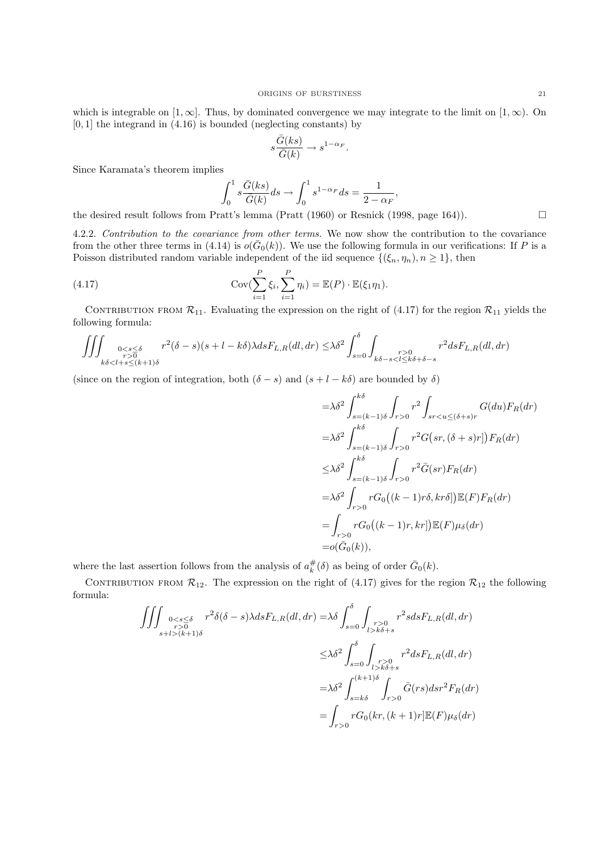which is integrable on [1, ∞]. Thus, by dominated convergence we may integrate to the limit on [1, ∞). On  $[0, 1]$  the integrand in  $(4.16)$  is bounded (neglecting constants) by

$$
s\frac{\bar{G}(ks)}{\bar{G}(k)} \to s^{1-\alpha_F}.
$$

Since Karamata's theorem implies

$$
\int_0^1 s \frac{\bar{G}(ks)}{\bar{G}(k)} ds \to \int_0^1 s^{1-\alpha_F} ds = \frac{1}{2 - \alpha_F},
$$

the desired result follows from Pratt's lemma (Pratt (1960) or Resnick (1998, page 164)).

4.2.2. Contribution to the covariance from other terms. We now show the contribution to the covariance from the other three terms in (4.14) is  $o(\bar{G}_0(k))$ . We use the following formula in our verifications: If P is a Poisson distributed random variable independent of the iid sequence  $\{(\xi_n, \eta_n), n \geq 1\}$ , then

(4.17) 
$$
\operatorname{Cov}(\sum_{i=1}^P \xi_i, \sum_{i=1}^P \eta_i) = \mathbb{E}(P) \cdot \mathbb{E}(\xi_1 \eta_1).
$$

CONTRIBUTION FROM  $\mathcal{R}_{11}$ . Evaluating the expression on the right of (4.17) for the region  $\mathcal{R}_{11}$  yields the following formula:

$$
\iiint_{\substack{0
$$

(since on the region of integration, both  $(\delta - s)$  and  $(s + l - k\delta)$  are bounded by  $\delta$ )

$$
= \lambda \delta^2 \int_{s=(k-1)\delta}^{k\delta} \int_{r>0} r^2 \int_{sr < u \leq (\delta+s)r} G(du) F_R(dr)
$$
  
\n
$$
= \lambda \delta^2 \int_{s=(k-1)\delta}^{k\delta} \int_{r>0} r^2 G\big(sr, (\delta+s)r\big|\big) F_R(dr)
$$
  
\n
$$
\leq \lambda \delta^2 \int_{s=(k-1)\delta}^{k\delta} \int_{r>0} r^2 \bar{G}(sr) F_R(dr)
$$
  
\n
$$
= \lambda \delta^2 \int_{r>0} r G_0\big((k-1)r\delta, kr\delta\big]\big) \mathbb{E}(F) F_R(dr)
$$
  
\n
$$
= \int_{r>0} r G_0\big((k-1)r, kr\big] \mathbb{E}(F) \mu_\delta(dr)
$$
  
\n
$$
= o(\bar{G}_0(k)),
$$

where the last assertion follows from the analysis of  $a_k^{\#}(\delta)$  as being of order  $\bar{G}_0(k)$ .

CONTRIBUTION FROM  $\mathcal{R}_{12}$ . The expression on the right of (4.17) gives for the region  $\mathcal{R}_{12}$  the following formula:

$$
\iiint_{\substack{r>0\\s+l>(k+1)\delta}} \sum_{\substack{r>0\\s+l>(k+1)\delta}} r^2 \delta(\delta-s) \lambda ds F_{L,R}(dl,dr) = \lambda \delta \int_{s=0}^{\delta} \int_{\substack{r>0\\l>k\delta+s}} r^2 s ds F_{L,R}(dl,dr)
$$
  

$$
\leq \lambda \delta^2 \int_{s=0}^{\delta} \int_{\substack{r>0\\l>k\delta+s}} r^2 ds F_{L,R}(dl,dr)
$$
  

$$
= \lambda \delta^2 \int_{s=k\delta}^{(k+1)\delta} \int_{r>0} \bar{G}(rs) ds r^2 F_R(dr)
$$
  

$$
= \int_{r>0} r G_0(kr, (k+1)r] \mathbb{E}(F) \mu_{\delta}(dr)
$$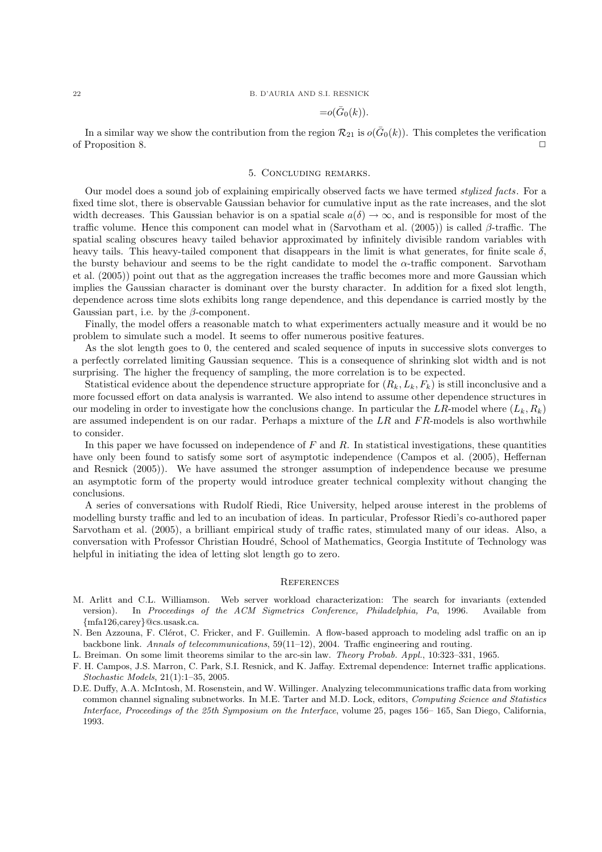### 22 B. D'AURIA AND S.I. RESNICK

$$
=o(\bar{G}_0(k)).
$$

In a similar way we show the contribution from the region  $\mathcal{R}_{21}$  is  $o(\bar{G}_0(k))$ . This completes the verification of Proposition 8. ✷

### 5. Concluding remarks.

Our model does a sound job of explaining empirically observed facts we have termed *stylized facts*. For a fixed time slot, there is observable Gaussian behavior for cumulative input as the rate increases, and the slot width decreases. This Gaussian behavior is on a spatial scale  $a(\delta) \to \infty$ , and is responsible for most of the traffic volume. Hence this component can model what in (Sarvotham et al. (2005)) is called  $\beta$ -traffic. The spatial scaling obscures heavy tailed behavior approximated by infinitely divisible random variables with heavy tails. This heavy-tailed component that disappears in the limit is what generates, for finite scale  $\delta$ . the bursty behaviour and seems to be the right candidate to model the  $\alpha$ -traffic component. Sarvotham et al. (2005)) point out that as the aggregation increases the traffic becomes more and more Gaussian which implies the Gaussian character is dominant over the bursty character. In addition for a fixed slot length, dependence across time slots exhibits long range dependence, and this dependance is carried mostly by the Gaussian part, i.e. by the  $\beta$ -component.

Finally, the model offers a reasonable match to what experimenters actually measure and it would be no problem to simulate such a model. It seems to offer numerous positive features.

As the slot length goes to 0, the centered and scaled sequence of inputs in successive slots converges to a perfectly correlated limiting Gaussian sequence. This is a consequence of shrinking slot width and is not surprising. The higher the frequency of sampling, the more correlation is to be expected.

Statistical evidence about the dependence structure appropriate for  $(R_k, L_k, F_k)$  is still inconclusive and a more focussed effort on data analysis is warranted. We also intend to assume other dependence structures in our modeling in order to investigate how the conclusions change. In particular the LR-model where  $(L_k, R_k)$ are assumed independent is on our radar. Perhaps a mixture of the  $LR$  and  $FR$ -models is also worthwhile to consider.

In this paper we have focussed on independence of  $F$  and  $R$ . In statistical investigations, these quantities have only been found to satisfy some sort of asymptotic independence (Campos et al. (2005), Heffernan and Resnick (2005)). We have assumed the stronger assumption of independence because we presume an asymptotic form of the property would introduce greater technical complexity without changing the conclusions.

A series of conversations with Rudolf Riedi, Rice University, helped arouse interest in the problems of modelling bursty traffic and led to an incubation of ideas. In particular, Professor Riedi's co-authored paper Sarvotham et al. (2005), a brilliant empirical study of traffic rates, stimulated many of our ideas. Also, a conversation with Professor Christian Houdré, School of Mathematics, Georgia Institute of Technology was helpful in initiating the idea of letting slot length go to zero.

#### **REFERENCES**

- M. Arlitt and C.L. Williamson. Web server workload characterization: The search for invariants (extended version). In Proceedings of the ACM Sigmetrics Conference, Philadelphia, Pa, 1996. Available from {mfa126,carey}@cs.usask.ca.
- N. Ben Azzouna, F. Clérot, C. Fricker, and F. Guillemin. A flow-based approach to modeling adsl traffic on an ip backbone link. Annals of telecommunications, 59(11–12), 2004. Traffic engineering and routing.
- L. Breiman. On some limit theorems similar to the arc-sin law. Theory Probab. Appl., 10:323–331, 1965.
- F. H. Campos, J.S. Marron, C. Park, S.I. Resnick, and K. Jaffay. Extremal dependence: Internet traffic applications. Stochastic Models, 21(1):1–35, 2005.
- D.E. Duffy, A.A. McIntosh, M. Rosenstein, and W. Willinger. Analyzing telecommunications traffic data from working common channel signaling subnetworks. In M.E. Tarter and M.D. Lock, editors, Computing Science and Statistics Interface, Proceedings of the 25th Symposium on the Interface, volume 25, pages 156– 165, San Diego, California, 1993.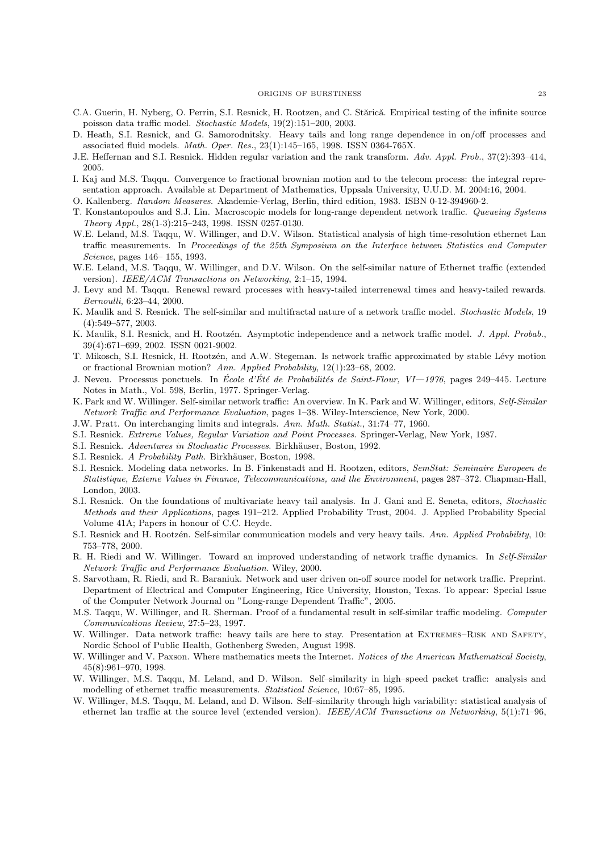#### ORIGINS OF BURSTINESS 23

- C.A. Guerin, H. Nyberg, O. Perrin, S.I. Resnick, H. Rootzen, and C. Stărică. Empirical testing of the infinite source poisson data traffic model. Stochastic Models, 19(2):151–200, 2003.
- D. Heath, S.I. Resnick, and G. Samorodnitsky. Heavy tails and long range dependence in on/off processes and associated fluid models. Math. Oper. Res., 23(1):145–165, 1998. ISSN 0364-765X.
- J.E. Heffernan and S.I. Resnick. Hidden regular variation and the rank transform. Adv. Appl. Prob., 37(2):393–414, 2005.
- I. Kaj and M.S. Taqqu. Convergence to fractional brownian motion and to the telecom process: the integral representation approach. Available at Department of Mathematics, Uppsala University, U.U.D. M. 2004:16, 2004.
- O. Kallenberg. Random Measures. Akademie-Verlag, Berlin, third edition, 1983. ISBN 0-12-394960-2.
- T. Konstantopoulos and S.J. Lin. Macroscopic models for long-range dependent network traffic. Queueing Systems Theory Appl., 28(1-3):215–243, 1998. ISSN 0257-0130.
- W.E. Leland, M.S. Taqqu, W. Willinger, and D.V. Wilson. Statistical analysis of high time-resolution ethernet Lan traffic measurements. In Proceedings of the 25th Symposium on the Interface between Statistics and Computer Science, pages 146– 155, 1993.
- W.E. Leland, M.S. Taqqu, W. Willinger, and D.V. Wilson. On the self-similar nature of Ethernet traffic (extended version). IEEE/ACM Transactions on Networking, 2:1–15, 1994.
- J. Levy and M. Taqqu. Renewal reward processes with heavy-tailed interrenewal times and heavy-tailed rewards. Bernoulli, 6:23–44, 2000.
- K. Maulik and S. Resnick. The self-similar and multifractal nature of a network traffic model. Stochastic Models, 19 (4):549–577, 2003.
- K. Maulik, S.I. Resnick, and H. Rootzén. Asymptotic independence and a network traffic model. J. Appl. Probab., 39(4):671–699, 2002. ISSN 0021-9002.
- T. Mikosch, S.I. Resnick, H. Rootzén, and A.W. Stegeman. Is network traffic approximated by stable Lévy motion or fractional Brownian motion? Ann. Applied Probability, 12(1):23–68, 2002.
- J. Neveu. Processus ponctuels. In École d'Été de Probabilités de Saint-Flour, VI—1976, pages 249–445. Lecture Notes in Math., Vol. 598, Berlin, 1977. Springer-Verlag.
- K. Park and W. Willinger. Self-similar network traffic: An overview. In K. Park and W. Willinger, editors, Self-Similar Network Traffic and Performance Evaluation, pages 1–38. Wiley-Interscience, New York, 2000.
- J.W. Pratt. On interchanging limits and integrals. Ann. Math. Statist., 31:74–77, 1960.
- S.I. Resnick. Extreme Values, Regular Variation and Point Processes. Springer-Verlag, New York, 1987.
- S.I. Resnick. Adventures in Stochastic Processes. Birkhäuser, Boston, 1992.
- S.I. Resnick. A Probability Path. Birkhäuser, Boston, 1998.
- S.I. Resnick. Modeling data networks. In B. Finkenstadt and H. Rootzen, editors, SemStat: Seminaire Europeen de Statistique, Exteme Values in Finance, Telecommunications, and the Environment, pages 287–372. Chapman-Hall, London, 2003.
- S.I. Resnick. On the foundations of multivariate heavy tail analysis. In J. Gani and E. Seneta, editors, Stochastic Methods and their Applications, pages 191–212. Applied Probability Trust, 2004. J. Applied Probability Special Volume 41A; Papers in honour of C.C. Heyde.
- S.I. Resnick and H. Rootzén. Self-similar communication models and very heavy tails. Ann. Applied Probability, 10: 753–778, 2000.
- R. H. Riedi and W. Willinger. Toward an improved understanding of network traffic dynamics. In Self-Similar Network Traffic and Performance Evaluation. Wiley, 2000.
- S. Sarvotham, R. Riedi, and R. Baraniuk. Network and user driven on-off source model for network traffic. Preprint. Department of Electrical and Computer Engineering, Rice University, Houston, Texas. To appear: Special Issue of the Computer Network Journal on "Long-range Dependent Traffic", 2005.
- M.S. Taqqu, W. Willinger, and R. Sherman. Proof of a fundamental result in self-similar traffic modeling. Computer Communications Review, 27:5–23, 1997.
- W. Willinger. Data network traffic: heavy tails are here to stay. Presentation at EXTREMES–RISK AND SAFETY, Nordic School of Public Health, Gothenberg Sweden, August 1998.
- W. Willinger and V. Paxson. Where mathematics meets the Internet. Notices of the American Mathematical Society, 45(8):961–970, 1998.
- W. Willinger, M.S. Taqqu, M. Leland, and D. Wilson. Self–similarity in high–speed packet traffic: analysis and modelling of ethernet traffic measurements. Statistical Science, 10:67–85, 1995.
- W. Willinger, M.S. Taqqu, M. Leland, and D. Wilson. Self–similarity through high variability: statistical analysis of ethernet lan traffic at the source level (extended version). IEEE/ACM Transactions on Networking, 5(1):71–96,